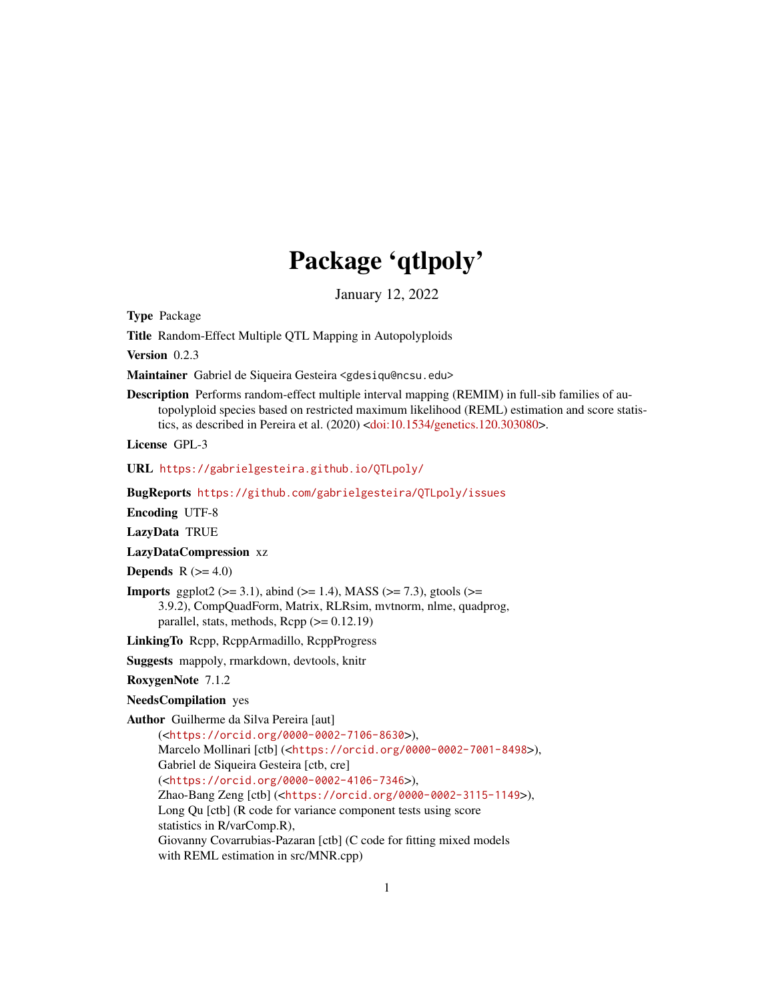# Package 'qtlpoly'

January 12, 2022

Type Package

Title Random-Effect Multiple QTL Mapping in Autopolyploids

Version 0.2.3

Maintainer Gabriel de Siqueira Gesteira <gdesiqu@ncsu.edu>

Description Performs random-effect multiple interval mapping (REMIM) in full-sib families of autopolyploid species based on restricted maximum likelihood (REML) estimation and score statis-tics, as described in Pereira et al. (2020) [<doi:10.1534/genetics.120.303080>](https://doi.org/10.1534/genetics.120.303080).

License GPL-3

URL <https://gabrielgesteira.github.io/QTLpoly/>

BugReports <https://github.com/gabrielgesteira/QTLpoly/issues>

Encoding UTF-8

LazyData TRUE

LazyDataCompression xz

Depends  $R$  ( $>= 4.0$ )

**Imports** ggplot2 ( $>= 3.1$ ), abind ( $>= 1.4$ ), MASS ( $>= 7.3$ ), gtools ( $>= 1.4$ ) 3.9.2), CompQuadForm, Matrix, RLRsim, mvtnorm, nlme, quadprog, parallel, stats, methods,  $\text{Rcpp} (> = 0.12.19)$ 

LinkingTo Rcpp, RcppArmadillo, RcppProgress

Suggests mappoly, rmarkdown, devtools, knitr

RoxygenNote 7.1.2

## NeedsCompilation yes

Author Guilherme da Silva Pereira [aut]

(<<https://orcid.org/0000-0002-7106-8630>>), Marcelo Mollinari [ctb] (<<https://orcid.org/0000-0002-7001-8498>>), Gabriel de Siqueira Gesteira [ctb, cre] (<<https://orcid.org/0000-0002-4106-7346>>), Zhao-Bang Zeng [ctb] (<<https://orcid.org/0000-0002-3115-1149>>), Long Qu [ctb] (R code for variance component tests using score statistics in R/varComp.R), Giovanny Covarrubias-Pazaran [ctb] (C code for fitting mixed models with REML estimation in src/MNR.cpp)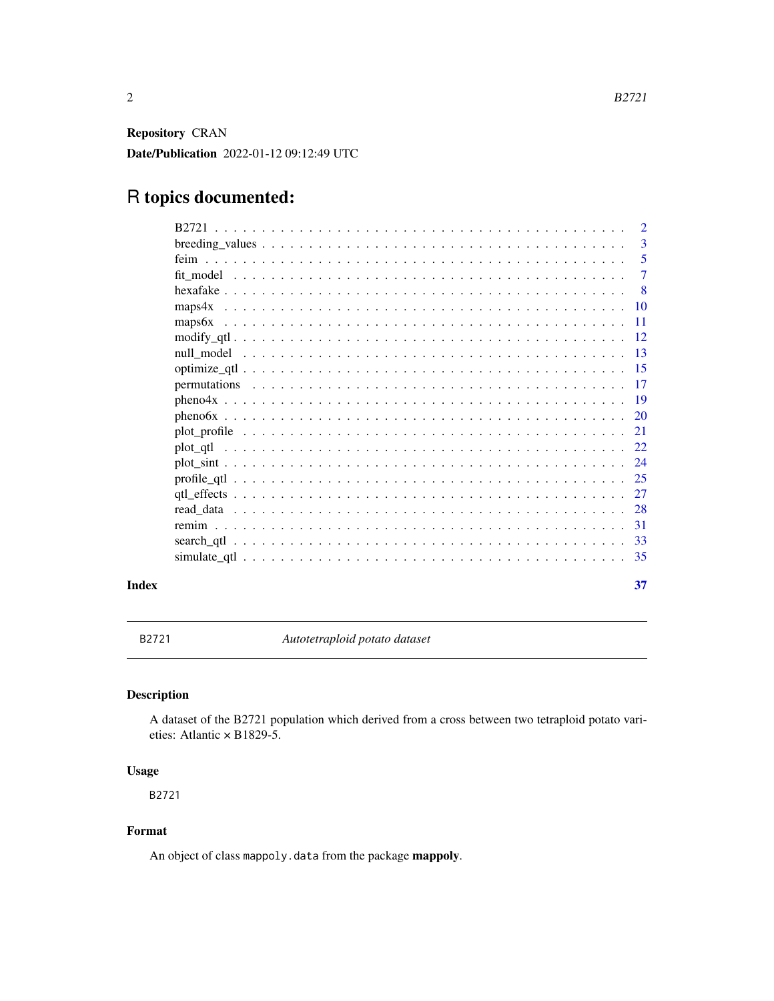<span id="page-1-0"></span>Repository CRAN

Date/Publication 2022-01-12 09:12:49 UTC

## R topics documented:

|          | $\overline{2}$  |
|----------|-----------------|
|          | 3               |
|          | 5               |
|          | 7               |
|          | -8              |
| maps4x   | -10             |
|          | -11             |
|          | -12             |
|          | $\overline{13}$ |
|          | -15             |
|          | -17             |
|          | -19             |
|          | 20              |
|          | 21              |
| plot qtl | 22              |
|          | 24              |
|          | -25             |
|          | 27              |
|          | 28              |
|          | -31             |
|          | -33             |
|          | -35             |
|          |                 |

#### **Index** [37](#page-36-0)

B2721 *Autotetraploid potato dataset*

## Description

A dataset of the B2721 population which derived from a cross between two tetraploid potato varieties: Atlantic × B1829-5.

## Usage

B2721

## Format

An object of class mappoly.data from the package mappoly.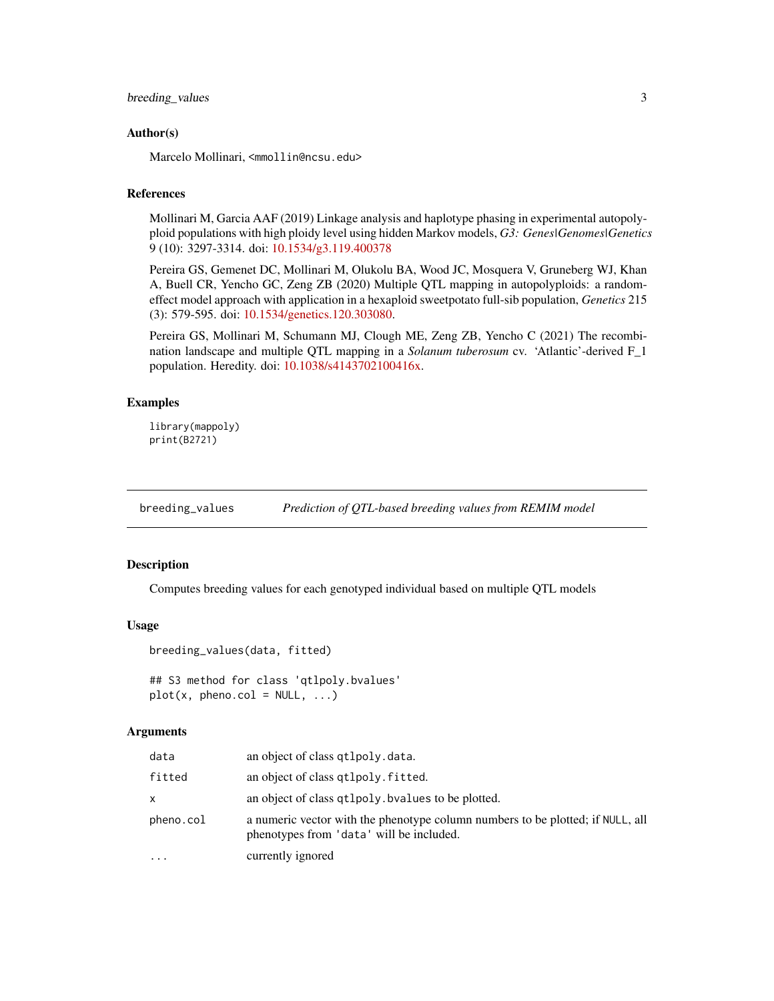## <span id="page-2-0"></span>breeding\_values 3

#### Author(s)

Marcelo Mollinari, <mmollin@ncsu.edu>

## References

Mollinari M, Garcia AAF (2019) Linkage analysis and haplotype phasing in experimental autopolyploid populations with high ploidy level using hidden Markov models, *G3: Genes|Genomes|Genetics* 9 (10): 3297-3314. doi: [10.1534/g3.119.400378](https://doi.org/10.1534/g3.119.400378)

Pereira GS, Gemenet DC, Mollinari M, Olukolu BA, Wood JC, Mosquera V, Gruneberg WJ, Khan A, Buell CR, Yencho GC, Zeng ZB (2020) Multiple QTL mapping in autopolyploids: a randomeffect model approach with application in a hexaploid sweetpotato full-sib population, *Genetics* 215 (3): 579-595. doi: [10.1534/genetics.120.303080.](https://doi.org/10.1534/genetics.120.303080)

Pereira GS, Mollinari M, Schumann MJ, Clough ME, Zeng ZB, Yencho C (2021) The recombination landscape and multiple QTL mapping in a *Solanum tuberosum* cv. 'Atlantic'-derived F\_1 population. Heredity. doi: [10.1038/s4143702100416x.](https://doi.org/10.1038/s41437-021-00416-x)

#### Examples

```
library(mappoly)
print(B2721)
```
breeding\_values *Prediction of QTL-based breeding values from REMIM model*

#### Description

Computes breeding values for each genotyped individual based on multiple QTL models

#### Usage

```
breeding_values(data, fitted)
```

```
## S3 method for class 'qtlpoly.bvalues'
plot(x, pheno.col = NULL, ...)
```
## Arguments

| data      | an object of class qtlpoly.data.                                                                                           |
|-----------|----------------------------------------------------------------------------------------------------------------------------|
| fitted    | an object of class qtlpoly. fitted.                                                                                        |
| x         | an object of class qt1po1y. by alues to be plotted.                                                                        |
| pheno.col | a numeric vector with the phenotype column numbers to be plotted; if NULL, all<br>phenotypes from 'data' will be included. |
| .         | currently ignored                                                                                                          |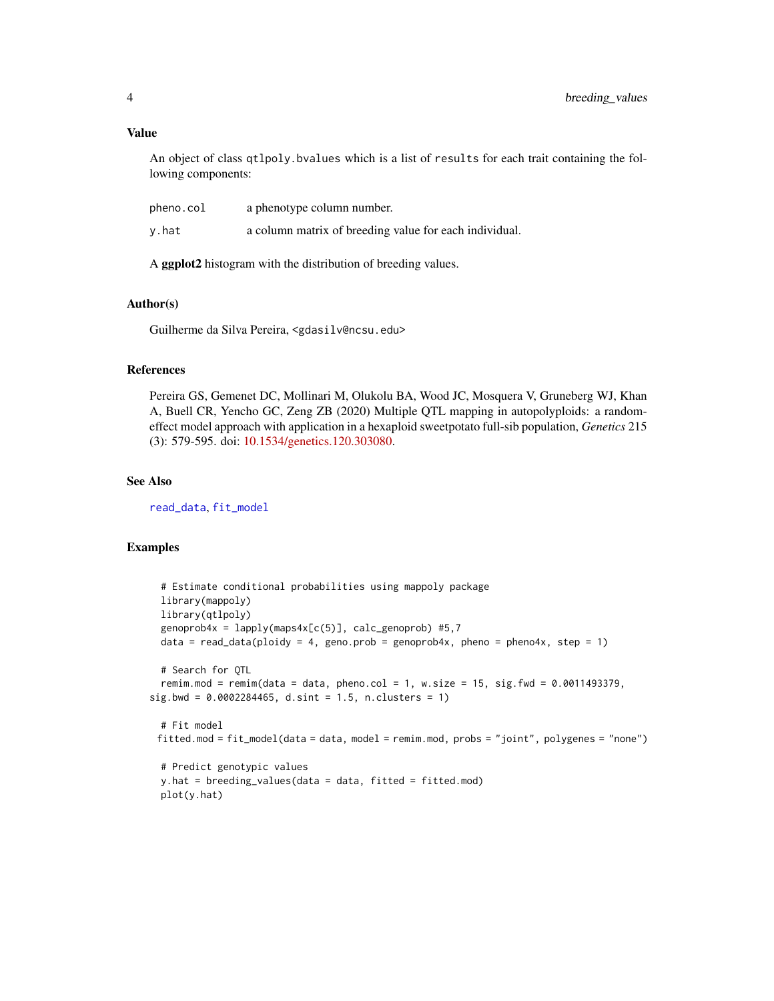#### <span id="page-3-0"></span>Value

An object of class qtlpoly.bvalues which is a list of results for each trait containing the following components:

| pheno.col | a phenotype column number.                             |
|-----------|--------------------------------------------------------|
| y.hat     | a column matrix of breeding value for each individual. |

A ggplot2 histogram with the distribution of breeding values.

## Author(s)

Guilherme da Silva Pereira, <gdasilv@ncsu.edu>

#### References

Pereira GS, Gemenet DC, Mollinari M, Olukolu BA, Wood JC, Mosquera V, Gruneberg WJ, Khan A, Buell CR, Yencho GC, Zeng ZB (2020) Multiple QTL mapping in autopolyploids: a randomeffect model approach with application in a hexaploid sweetpotato full-sib population, *Genetics* 215 (3): 579-595. doi: [10.1534/genetics.120.303080.](https://doi.org/10.1534/genetics.120.303080)

## See Also

[read\\_data](#page-27-1), [fit\\_model](#page-6-1)

plot(y.hat)

```
# Estimate conditional probabilities using mappoly package
 library(mappoly)
 library(qtlpoly)
 genoprob4x = lapply(maps4x[c(5)], calc\_genoprob) #5,7data = read_data(ploidy = 4, geno.prob = genoprob4x, pheno = pheno4x, step = 1)
 # Search for QTL
 remim.mod = remim(data = data, pheno.col = 1, w.size = 15, sig.fwd = 0.0011493379,
sig.bwd = 0.0002284465, d.sint = 1.5, n.classus = 1)# Fit model
 fitted.mod = fit_model(data = data, model = remim.mod, probs = "joint", polygenes = "none")
 # Predict genotypic values
 y.hat = breeding_values(data = data, fitted = fitted.mod)
```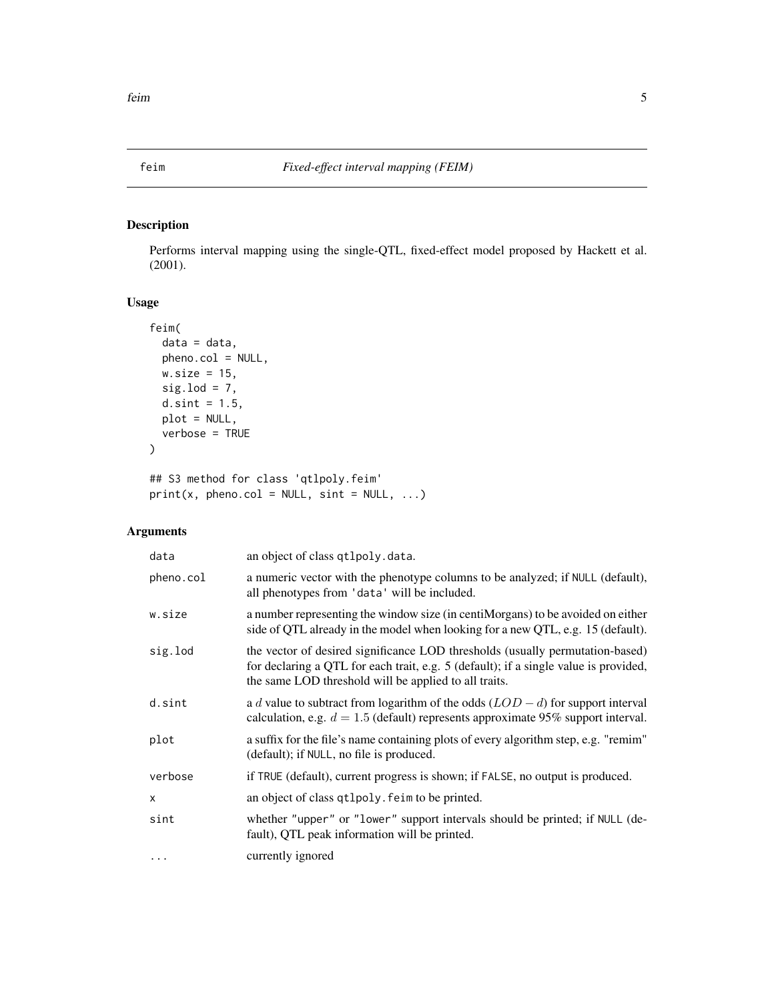<span id="page-4-1"></span><span id="page-4-0"></span>

Performs interval mapping using the single-QTL, fixed-effect model proposed by Hackett et al. (2001).

## Usage

```
feim(
  data = data,pheno.col = NULL,
 w.size = 15,
 sig.load = 7,
 d.sint = 1.5,
 plot = NULL,
 verbose = TRUE
)
## S3 method for class 'qtlpoly.feim'
```
 $print(x, pheno.col = NULL, sint = NULL, ...)$ 

## Arguments

| data         | an object of class qtlpoly.data.                                                                                                                                                                                               |
|--------------|--------------------------------------------------------------------------------------------------------------------------------------------------------------------------------------------------------------------------------|
| pheno.col    | a numeric vector with the phenotype columns to be analyzed; if NULL (default),<br>all phenotypes from 'data' will be included.                                                                                                 |
| w.size       | a number representing the window size (in centiMorgans) to be avoided on either<br>side of QTL already in the model when looking for a new QTL, e.g. 15 (default).                                                             |
| sig.lod      | the vector of desired significance LOD thresholds (usually permutation-based)<br>for declaring a QTL for each trait, e.g. 5 (default); if a single value is provided,<br>the same LOD threshold will be applied to all traits. |
| d.sint       | a d value to subtract from logarithm of the odds $(LOD - d)$ for support interval<br>calculation, e.g. $d = 1.5$ (default) represents approximate 95% support interval.                                                        |
| plot         | a suffix for the file's name containing plots of every algorithm step, e.g. "remim"<br>(default); if NULL, no file is produced.                                                                                                |
| verbose      | if TRUE (default), current progress is shown; if FALSE, no output is produced.                                                                                                                                                 |
| $\mathsf{x}$ | an object of class qtlpoly. feim to be printed.                                                                                                                                                                                |
| sint         | whether "upper" or "lower" support intervals should be printed; if NULL (de-<br>fault), QTL peak information will be printed.                                                                                                  |
| $\cdots$     | currently ignored                                                                                                                                                                                                              |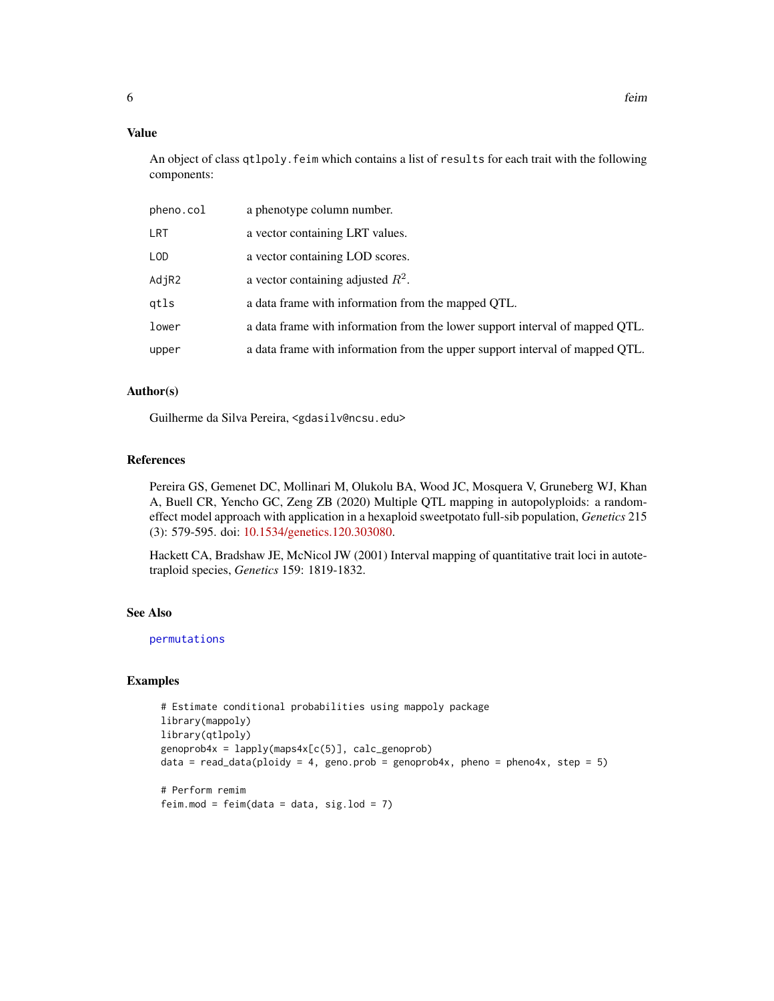## <span id="page-5-0"></span>Value

An object of class qtlpoly.feim which contains a list of results for each trait with the following components:

| pheno.col | a phenotype column number.                                                   |
|-----------|------------------------------------------------------------------------------|
| LRT       | a vector containing LRT values.                                              |
| LOD       | a vector containing LOD scores.                                              |
| AdjR2     | a vector containing adjusted $R^2$ .                                         |
| qtls      | a data frame with information from the mapped QTL.                           |
| lower     | a data frame with information from the lower support interval of mapped QTL. |
| upper     | a data frame with information from the upper support interval of mapped QTL. |

#### Author(s)

Guilherme da Silva Pereira, <gdasilv@ncsu.edu>

## References

Pereira GS, Gemenet DC, Mollinari M, Olukolu BA, Wood JC, Mosquera V, Gruneberg WJ, Khan A, Buell CR, Yencho GC, Zeng ZB (2020) Multiple QTL mapping in autopolyploids: a randomeffect model approach with application in a hexaploid sweetpotato full-sib population, *Genetics* 215 (3): 579-595. doi: [10.1534/genetics.120.303080.](https://doi.org/10.1534/genetics.120.303080)

Hackett CA, Bradshaw JE, McNicol JW (2001) Interval mapping of quantitative trait loci in autotetraploid species, *Genetics* 159: 1819-1832.

## See Also

[permutations](#page-16-1)

```
# Estimate conditional probabilities using mappoly package
library(mappoly)
library(qtlpoly)
genoprob4x = lapply(maps4x[c(5)], calc_genoprob)
data = read_data(ploidy = 4, geno.prob = genoprob4x, pheno = pheno4x, step = 5)
```

```
# Perform remim
feim.mod = feim(data = data, sig.lod = 7)
```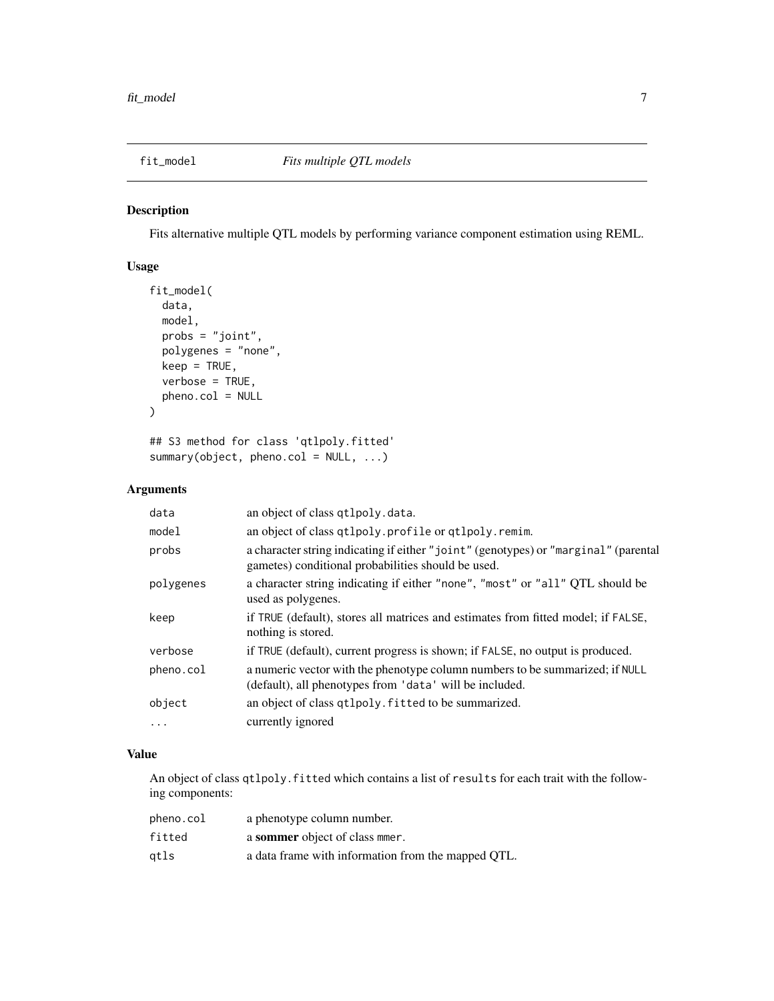<span id="page-6-1"></span><span id="page-6-0"></span>

Fits alternative multiple QTL models by performing variance component estimation using REML.

## Usage

```
fit_model(
  data,
  model,
  probs = "joint",
  polygenes = "none",
  keep = TRUE,
  verbose = TRUE,
  pheno.col = NULL
\mathcal{E}
```
## S3 method for class 'qtlpoly.fitted' summary(object, pheno.col = NULL, ...)

## Arguments

| data      | an object of class qtlpoly.data.                                                                                                          |
|-----------|-------------------------------------------------------------------------------------------------------------------------------------------|
| model     | an object of class qtlpoly.profile or qtlpoly.remim.                                                                                      |
| probs     | a character string indicating if either "joint" (genotypes) or "marginal" (parental<br>gametes) conditional probabilities should be used. |
| polygenes | a character string indicating if either "none", "most" or "all" QTL should be<br>used as polygenes.                                       |
| keep      | if TRUE (default), stores all matrices and estimates from fitted model; if FALSE,<br>nothing is stored.                                   |
| verbose   | if TRUE (default), current progress is shown; if FALSE, no output is produced.                                                            |
| pheno.col | a numeric vector with the phenotype column numbers to be summarized; if NULL<br>(default), all phenotypes from 'data' will be included.   |
| object    | an object of class qtlpoly. fitted to be summarized.                                                                                      |
| $\ldots$  | currently ignored                                                                                                                         |

## Value

An object of class qtlpoly.fitted which contains a list of results for each trait with the following components:

| pheno.col | a phenotype column number.                         |
|-----------|----------------------------------------------------|
| fitted    | a sommer object of class mer.                      |
| gtls      | a data frame with information from the mapped QTL. |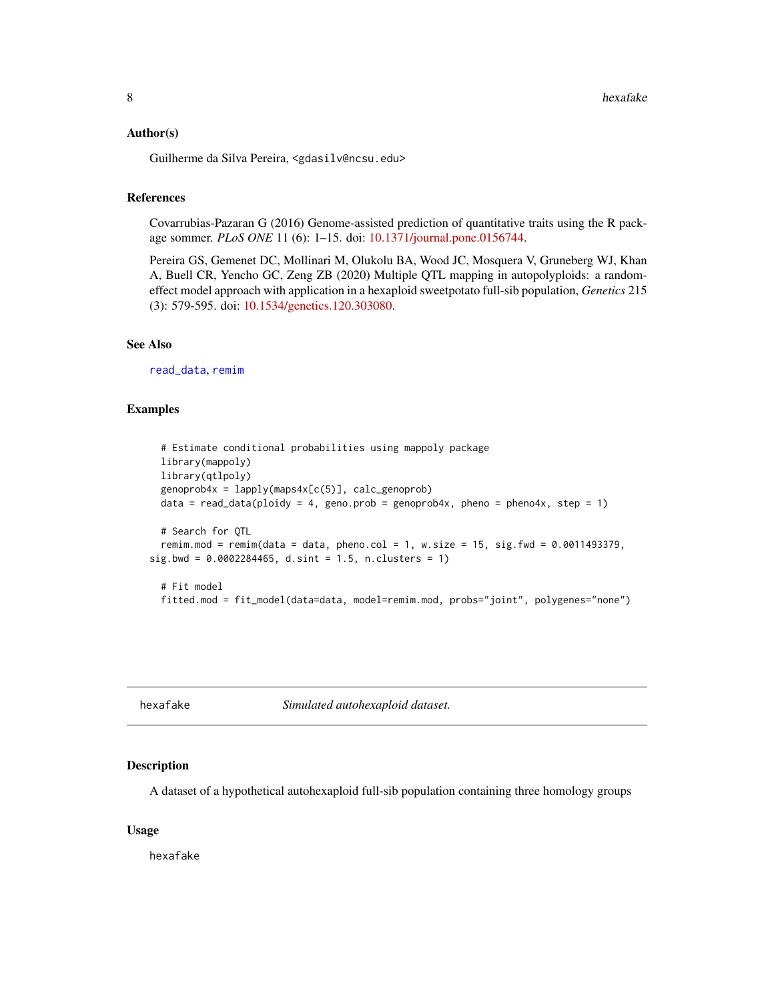#### <span id="page-7-0"></span>Author(s)

Guilherme da Silva Pereira, <gdasilv@ncsu.edu>

## References

Covarrubias-Pazaran G (2016) Genome-assisted prediction of quantitative traits using the R package sommer. *PLoS ONE* 11 (6): 1–15. doi: [10.1371/journal.pone.0156744.](https://doi.org/10.1371/journal.pone.0156744)

Pereira GS, Gemenet DC, Mollinari M, Olukolu BA, Wood JC, Mosquera V, Gruneberg WJ, Khan A, Buell CR, Yencho GC, Zeng ZB (2020) Multiple QTL mapping in autopolyploids: a randomeffect model approach with application in a hexaploid sweetpotato full-sib population, *Genetics* 215 (3): 579-595. doi: [10.1534/genetics.120.303080.](https://doi.org/10.1534/genetics.120.303080)

#### See Also

[read\\_data](#page-27-1), [remim](#page-30-1)

#### Examples

```
# Estimate conditional probabilities using mappoly package
 library(mappoly)
 library(qtlpoly)
 genoprob4x = \text{lapply}(maps4x[c(5)], calc\_genoprob)data = read_data(ploidy = 4, geno.prob = genoprob4x, pheno = pheno4x, step = 1)
 # Search for QTL
 remim.mod = remim(data = data, pheno.col = 1, w.size = 15, sig.fwd = 0.0011493379,
sig.bwd = 0.0002284465, d.sint = 1.5, n.clusters = 1)
 # Fit model
 fitted.mod = fit_model(data=data, model=remim.mod, probs="joint", polygenes="none")
```
<span id="page-7-1"></span>

hexafake *Simulated autohexaploid dataset.*

#### Description

A dataset of a hypothetical autohexaploid full-sib population containing three homology groups

#### Usage

hexafake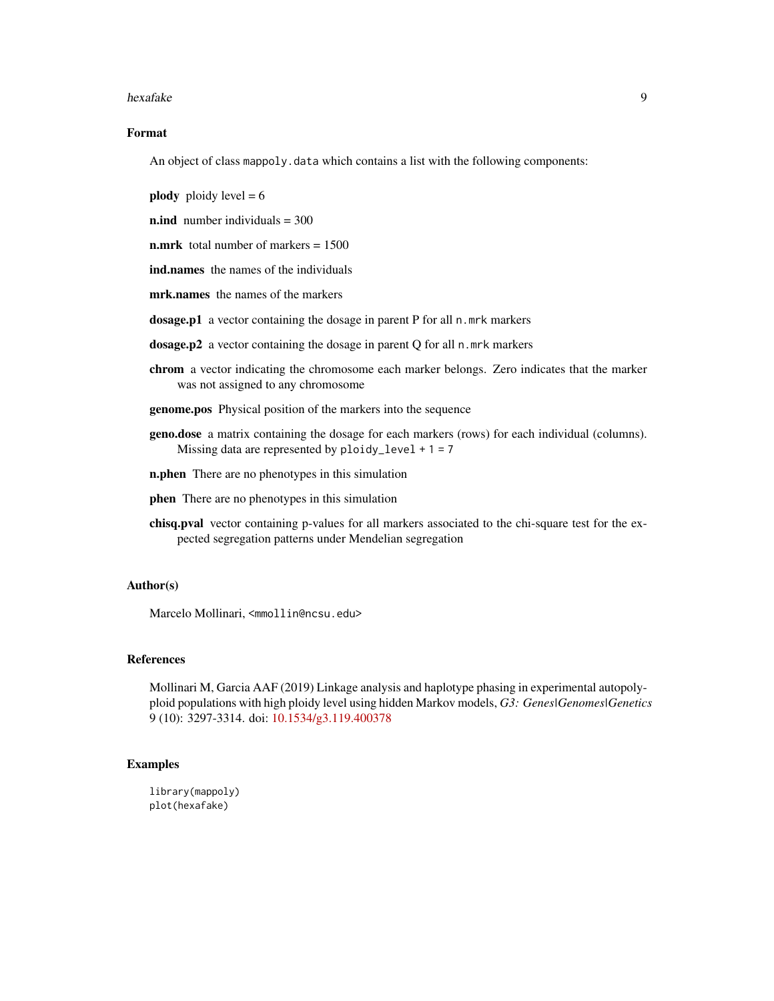#### hexafake 9

## Format

An object of class mappoly.data which contains a list with the following components:

**plody** ploidy level  $= 6$ 

n.ind number individuals = 300

**n.mrk** total number of markers  $= 1500$ 

ind.names the names of the individuals

mrk.names the names of the markers

dosage.p1 a vector containing the dosage in parent P for all n.mrk markers

dosage.p2 a vector containing the dosage in parent Q for all n.mrk markers

- chrom a vector indicating the chromosome each marker belongs. Zero indicates that the marker was not assigned to any chromosome
- genome.pos Physical position of the markers into the sequence
- geno.dose a matrix containing the dosage for each markers (rows) for each individual (columns). Missing data are represented by  $ploidy^\text{level} + 1 = 7$
- n.phen There are no phenotypes in this simulation
- phen There are no phenotypes in this simulation
- chisq.pval vector containing p-values for all markers associated to the chi-square test for the expected segregation patterns under Mendelian segregation

## Author(s)

Marcelo Mollinari, <mmollin@ncsu.edu>

#### References

Mollinari M, Garcia AAF (2019) Linkage analysis and haplotype phasing in experimental autopolyploid populations with high ploidy level using hidden Markov models, *G3: Genes|Genomes|Genetics* 9 (10): 3297-3314. doi: [10.1534/g3.119.400378](https://doi.org/10.1534/g3.119.400378)

#### Examples

library(mappoly) plot(hexafake)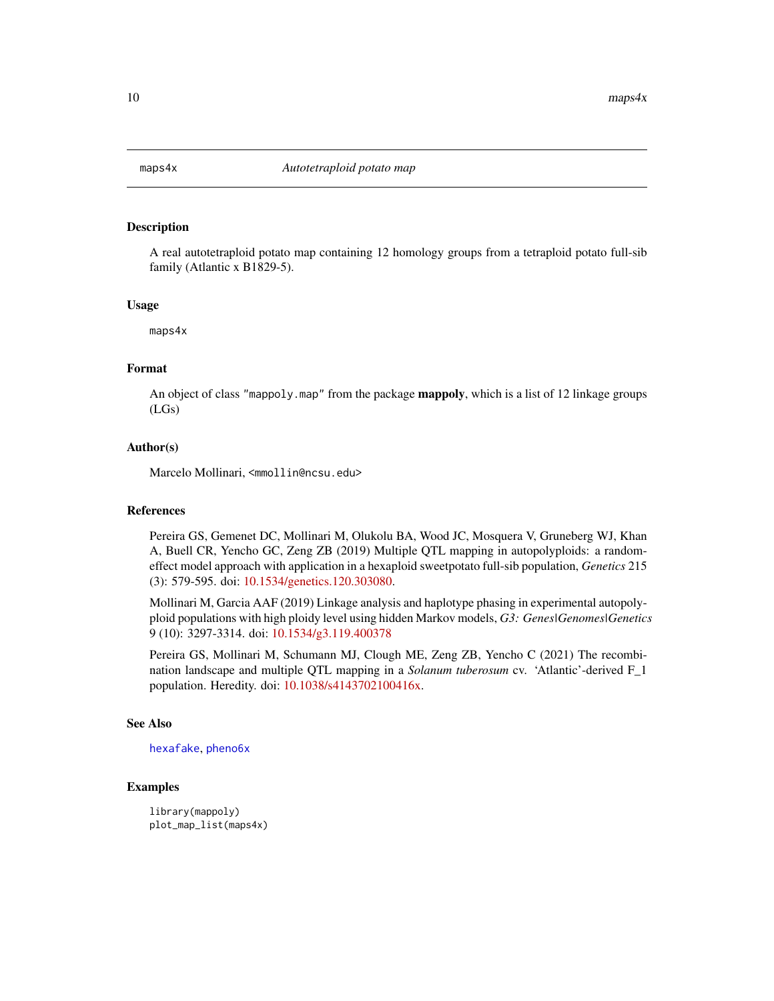<span id="page-9-0"></span>

A real autotetraploid potato map containing 12 homology groups from a tetraploid potato full-sib family (Atlantic x B1829-5).

#### Usage

maps4x

## Format

An object of class "mappoly.map" from the package **mappoly**, which is a list of 12 linkage groups (LGs)

#### Author(s)

Marcelo Mollinari, <mmollin@ncsu.edu>

#### References

Pereira GS, Gemenet DC, Mollinari M, Olukolu BA, Wood JC, Mosquera V, Gruneberg WJ, Khan A, Buell CR, Yencho GC, Zeng ZB (2019) Multiple QTL mapping in autopolyploids: a randomeffect model approach with application in a hexaploid sweetpotato full-sib population, *Genetics* 215 (3): 579-595. doi: [10.1534/genetics.120.303080.](https://doi.org/10.1534/genetics.120.303080)

Mollinari M, Garcia AAF (2019) Linkage analysis and haplotype phasing in experimental autopolyploid populations with high ploidy level using hidden Markov models, *G3: Genes|Genomes|Genetics* 9 (10): 3297-3314. doi: [10.1534/g3.119.400378](https://doi.org/10.1534/g3.119.400378)

Pereira GS, Mollinari M, Schumann MJ, Clough ME, Zeng ZB, Yencho C (2021) The recombination landscape and multiple QTL mapping in a *Solanum tuberosum* cv. 'Atlantic'-derived F\_1 population. Heredity. doi: [10.1038/s4143702100416x.](https://doi.org/10.1038/s41437-021-00416-x)

#### See Also

[hexafake](#page-7-1), [pheno6x](#page-19-1)

#### Examples

library(mappoly) plot\_map\_list(maps4x)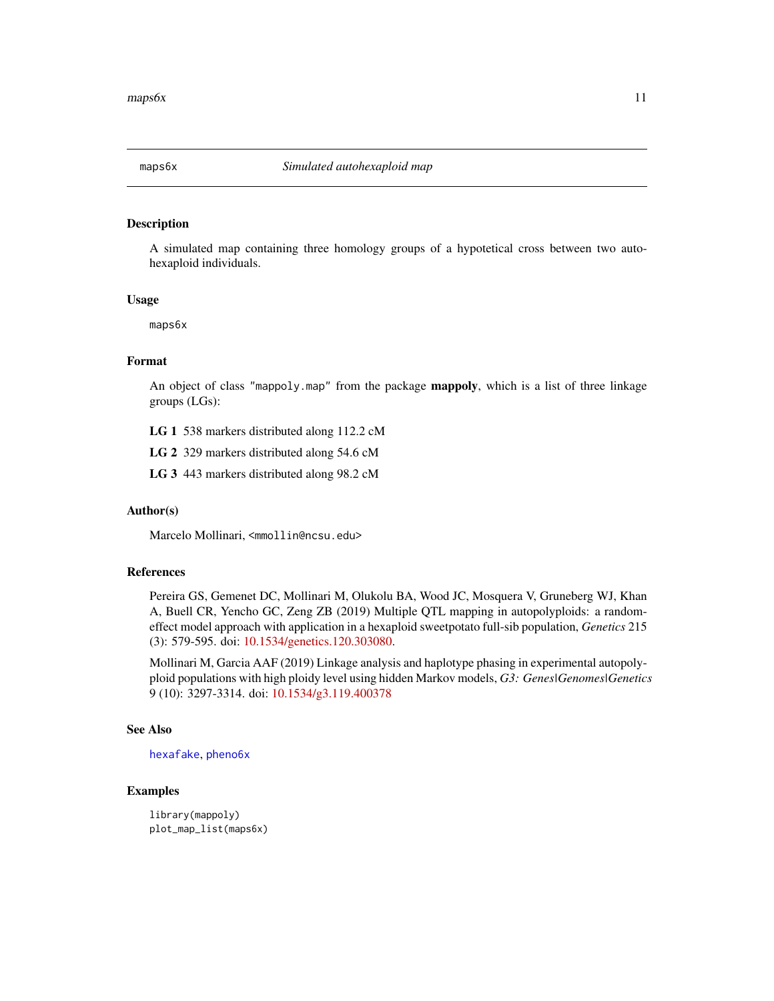<span id="page-10-1"></span><span id="page-10-0"></span>

A simulated map containing three homology groups of a hypotetical cross between two autohexaploid individuals.

#### Usage

maps6x

## Format

An object of class "mappoly.map" from the package **mappoly**, which is a list of three linkage groups (LGs):

LG 1 538 markers distributed along 112.2 cM

LG 2 329 markers distributed along 54.6 cM

LG 3 443 markers distributed along 98.2 cM

#### Author(s)

Marcelo Mollinari, <mmollin@ncsu.edu>

## References

Pereira GS, Gemenet DC, Mollinari M, Olukolu BA, Wood JC, Mosquera V, Gruneberg WJ, Khan A, Buell CR, Yencho GC, Zeng ZB (2019) Multiple QTL mapping in autopolyploids: a randomeffect model approach with application in a hexaploid sweetpotato full-sib population, *Genetics* 215 (3): 579-595. doi: [10.1534/genetics.120.303080.](https://doi.org/10.1534/genetics.120.303080)

Mollinari M, Garcia AAF (2019) Linkage analysis and haplotype phasing in experimental autopolyploid populations with high ploidy level using hidden Markov models, *G3: Genes|Genomes|Genetics* 9 (10): 3297-3314. doi: [10.1534/g3.119.400378](https://doi.org/10.1534/g3.119.400378)

## See Also

[hexafake](#page-7-1), [pheno6x](#page-19-1)

```
library(mappoly)
plot_map_list(maps6x)
```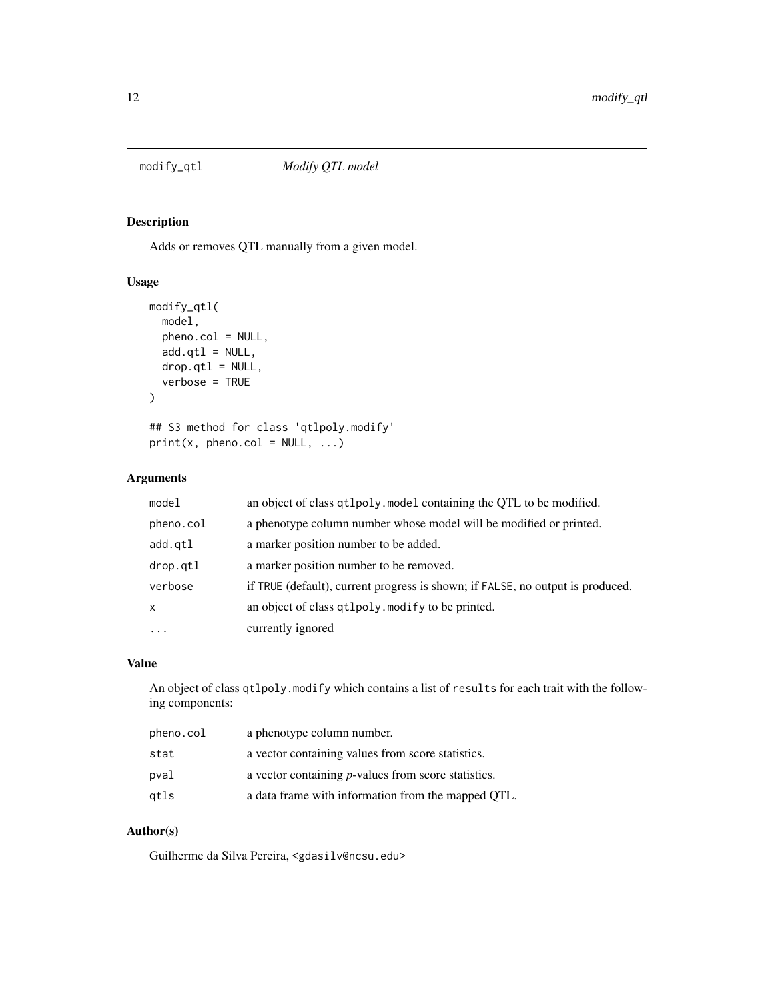<span id="page-11-0"></span>

Adds or removes QTL manually from a given model.

## Usage

```
modify_qtl(
  model,
  pheno.col = NULL,
  add.qtl = NULL,drop.qtl = NULL,verbose = TRUE
\mathcal{E}## S3 method for class 'qtlpoly.modify'
print(x, pheno.col = NULL, ...)
```
## Arguments

| model        | an object of class qt1poly. model containing the QTL to be modified.           |
|--------------|--------------------------------------------------------------------------------|
| pheno.col    | a phenotype column number whose model will be modified or printed.             |
| add.qtl      | a marker position number to be added.                                          |
| drop.gtl     | a marker position number to be removed.                                        |
| verbose      | if TRUE (default), current progress is shown; if FALSE, no output is produced. |
| $\mathsf{x}$ | an object of class qtlpoly. modify to be printed.                              |
| .            | currently ignored                                                              |

#### Value

An object of class qtlpoly.modify which contains a list of results for each trait with the following components:

| pheno.col | a phenotype column number.                                  |
|-----------|-------------------------------------------------------------|
| stat      | a vector containing values from score statistics.           |
| pval      | a vector containing <i>p</i> -values from score statistics. |
| atls      | a data frame with information from the mapped OTL.          |

#### Author(s)

Guilherme da Silva Pereira, <gdasilv@ncsu.edu>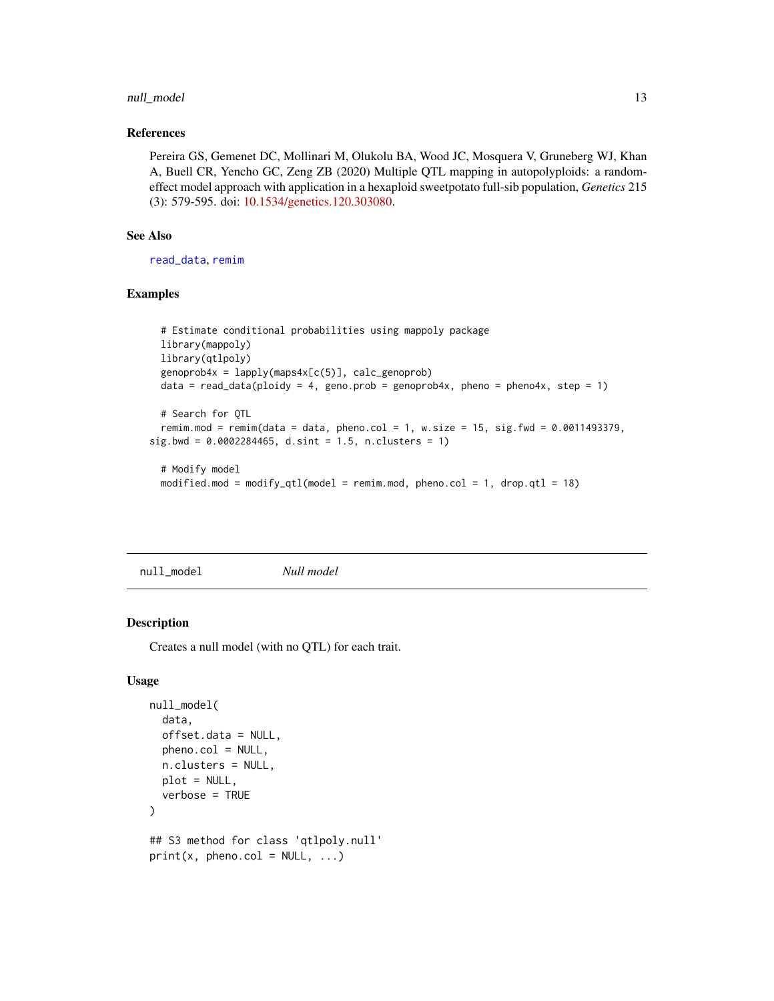## <span id="page-12-0"></span>null\_model 13

## References

Pereira GS, Gemenet DC, Mollinari M, Olukolu BA, Wood JC, Mosquera V, Gruneberg WJ, Khan A, Buell CR, Yencho GC, Zeng ZB (2020) Multiple QTL mapping in autopolyploids: a randomeffect model approach with application in a hexaploid sweetpotato full-sib population, *Genetics* 215 (3): 579-595. doi: [10.1534/genetics.120.303080.](https://doi.org/10.1534/genetics.120.303080)

## See Also

[read\\_data](#page-27-1), [remim](#page-30-1)

#### Examples

```
# Estimate conditional probabilities using mappoly package
 library(mappoly)
 library(qtlpoly)
 genoprob4x = lapply(maps4x[c(5)], calc_genoprob)
 data = read_data(ploidy = 4, geno.prob = genoprob4x, pheno = pheno4x, step = 1)
 # Search for QTL
 remim.mod = remim(data = data, pheno.col = 1, w.size = 15, sig.fwd = 0.0011493379,
sig.bwd = 0.0002284465, d.sint = 1.5, n.classus = 1)# Modify model
```

```
modified.mod = modify_qtl(model = remim.mod, pheno.col = 1, drop.qtl = 18)
```
<span id="page-12-1"></span>null\_model *Null model*

## Description

Creates a null model (with no QTL) for each trait.

#### Usage

```
null_model(
  data,
  offset.data = NULL,
  pheno.col = NULL,
  n.clusters = NULL,
  plot = NULL,
  verbose = TRUE
)
## S3 method for class 'qtlpoly.null'
print(x, pheno.col = NULL, ...)
```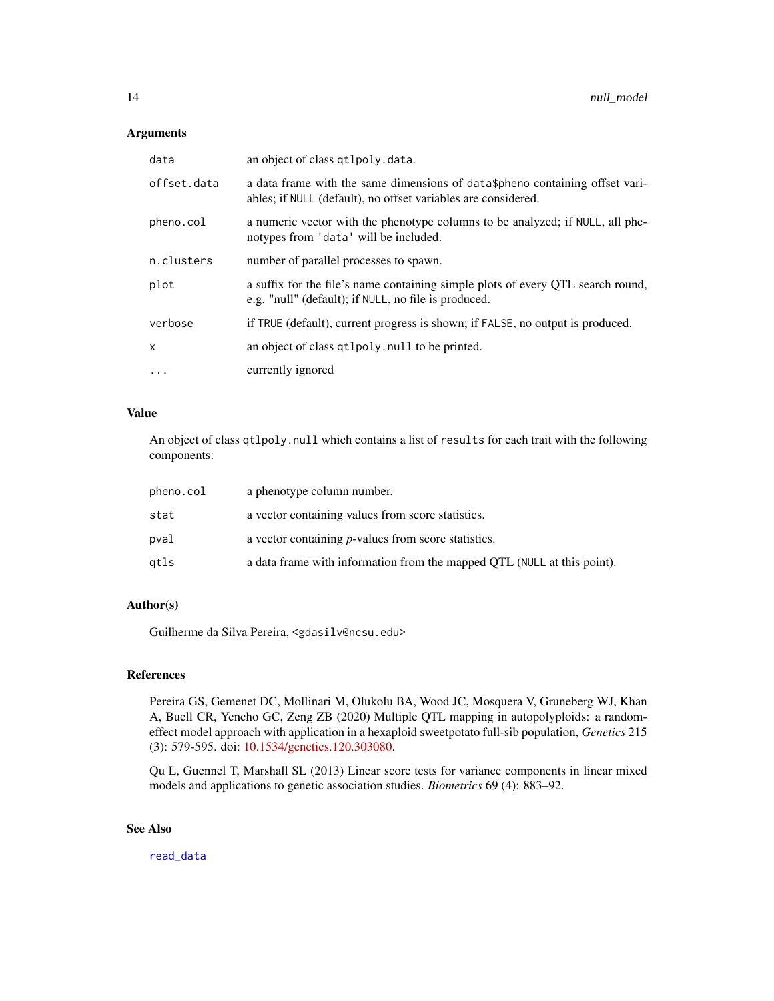## <span id="page-13-0"></span>Arguments

| data        | an object of class qtlpoly.data.                                                                                                               |
|-------------|------------------------------------------------------------------------------------------------------------------------------------------------|
| offset.data | a data frame with the same dimensions of data \$pheno containing offset vari-<br>ables; if NULL (default), no offset variables are considered. |
| pheno.col   | a numeric vector with the phenotype columns to be analyzed; if NULL, all phe-<br>notypes from 'data' will be included.                         |
| n.clusters  | number of parallel processes to spawn.                                                                                                         |
| plot        | a suffix for the file's name containing simple plots of every QTL search round,<br>e.g. "null" (default); if NULL, no file is produced.        |
| verbose     | if TRUE (default), current progress is shown; if FALSE, no output is produced.                                                                 |
| X           | an object of class qt1poly. null to be printed.                                                                                                |
| $\cdots$    | currently ignored                                                                                                                              |

#### Value

An object of class qtlpoly.null which contains a list of results for each trait with the following components:

| pheno.col | a phenotype column number.                                              |
|-----------|-------------------------------------------------------------------------|
| stat      | a vector containing values from score statistics.                       |
| pval      | a vector containing <i>p</i> -values from score statistics.             |
| atls      | a data frame with information from the mapped QTL (NULL at this point). |

## Author(s)

Guilherme da Silva Pereira, <gdasilv@ncsu.edu>

## References

Pereira GS, Gemenet DC, Mollinari M, Olukolu BA, Wood JC, Mosquera V, Gruneberg WJ, Khan A, Buell CR, Yencho GC, Zeng ZB (2020) Multiple QTL mapping in autopolyploids: a randomeffect model approach with application in a hexaploid sweetpotato full-sib population, *Genetics* 215 (3): 579-595. doi: [10.1534/genetics.120.303080.](https://doi.org/10.1534/genetics.120.303080)

Qu L, Guennel T, Marshall SL (2013) Linear score tests for variance components in linear mixed models and applications to genetic association studies. *Biometrics* 69 (4): 883–92.

## See Also

[read\\_data](#page-27-1)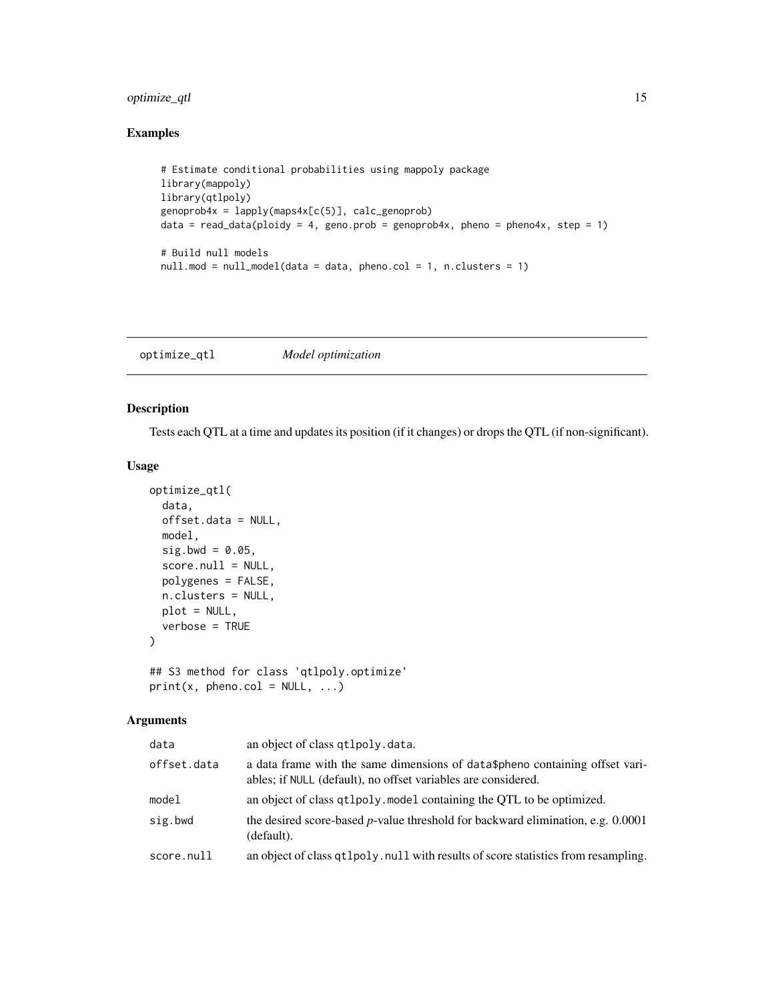## <span id="page-14-0"></span>optimize\_qtl 15

## Examples

```
# Estimate conditional probabilities using mappoly package
library(mappoly)
library(qtlpoly)
genoprob4x = lapply(maps4x[c(5)], calc_genoprob)
data = read_data(ploidy = 4, geno.prob = genoprob4x, pheno = pheno4x, step = 1)
# Build null models
nullmod = null_model(data = data, phonecol = 1, n.classes = 1)
```
optimize\_qtl *Model optimization*

## Description

Tests each QTL at a time and updates its position (if it changes) or drops the QTL (if non-significant).

## Usage

```
optimize_qtl(
  data,
  offset.data = NULL,
 model,
  sig.bwd = 0.05,
  score.null = NULL,
  polygenes = FALSE,
 n.clusters = NULL,
 plot = NULL,
  verbose = TRUE
)
## S3 method for class 'qtlpoly.optimize'
print(x, pheno,col = NULL, ...)
```
## Arguments

| data        | an object of class qtlpoly.data.                                                                                                              |
|-------------|-----------------------------------------------------------------------------------------------------------------------------------------------|
| offset.data | a data frame with the same dimensions of data\$pheno containing offset vari-<br>ables; if NULL (default), no offset variables are considered. |
| model       | an object of class $\alpha$ t lpoly. model containing the OTL to be optimized.                                                                |
| sig.bwd     | the desired score-based $p$ -value threshold for backward elimination, e.g. 0.0001<br>(default).                                              |
| score.null  | an object of class qt1poly. null with results of score statistics from resampling.                                                            |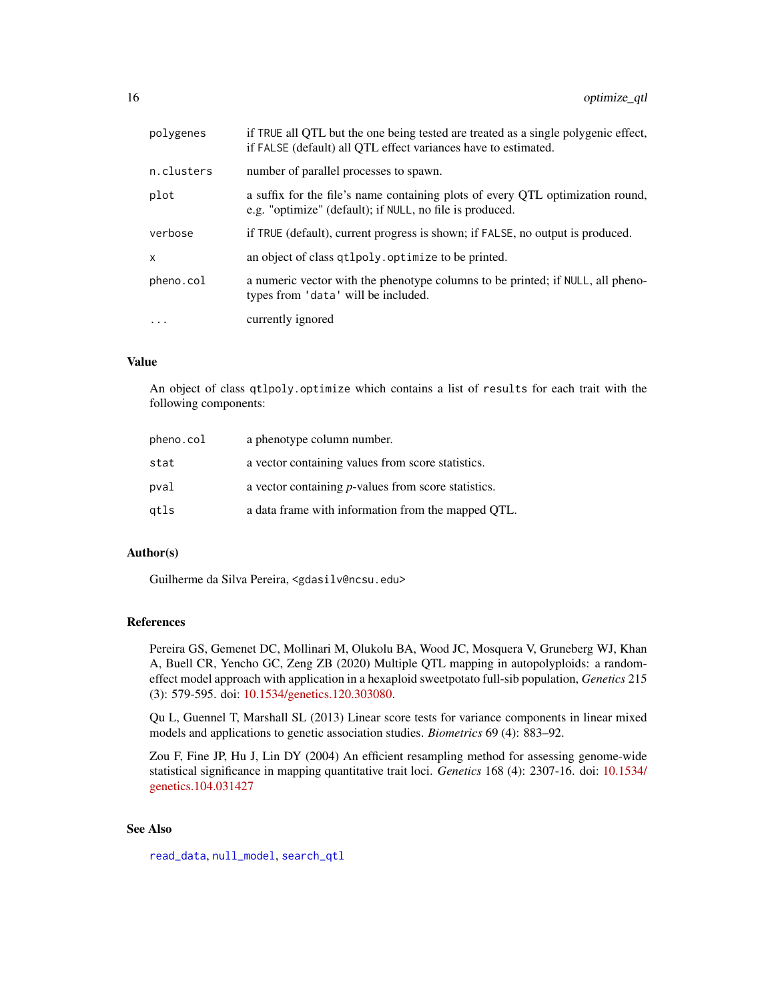<span id="page-15-0"></span>

| polygenes    | if TRUE all QTL but the one being tested are treated as a single polygenic effect,<br>if FALSE (default) all QTL effect variances have to estimated. |
|--------------|------------------------------------------------------------------------------------------------------------------------------------------------------|
| n.clusters   | number of parallel processes to spawn.                                                                                                               |
| plot         | a suffix for the file's name containing plots of every QTL optimization round,<br>e.g. "optimize" (default); if NULL, no file is produced.           |
| verbose      | if TRUE (default), current progress is shown; if FALSE, no output is produced.                                                                       |
| $\mathsf{x}$ | an object of class qtlpoly. optimize to be printed.                                                                                                  |
| pheno.col    | a numeric vector with the phenotype columns to be printed; if NULL, all pheno-<br>types from 'data' will be included.                                |
| $\ddotsc$    | currently ignored                                                                                                                                    |

## Value

An object of class qtlpoly.optimize which contains a list of results for each trait with the following components:

| pheno.col | a phenotype column number.                                  |
|-----------|-------------------------------------------------------------|
| stat      | a vector containing values from score statistics.           |
| pval      | a vector containing <i>p</i> -values from score statistics. |
| qtls      | a data frame with information from the mapped QTL.          |

#### Author(s)

Guilherme da Silva Pereira, <gdasilv@ncsu.edu>

## References

Pereira GS, Gemenet DC, Mollinari M, Olukolu BA, Wood JC, Mosquera V, Gruneberg WJ, Khan A, Buell CR, Yencho GC, Zeng ZB (2020) Multiple QTL mapping in autopolyploids: a randomeffect model approach with application in a hexaploid sweetpotato full-sib population, *Genetics* 215 (3): 579-595. doi: [10.1534/genetics.120.303080.](https://doi.org/10.1534/genetics.120.303080)

Qu L, Guennel T, Marshall SL (2013) Linear score tests for variance components in linear mixed models and applications to genetic association studies. *Biometrics* 69 (4): 883–92.

Zou F, Fine JP, Hu J, Lin DY (2004) An efficient resampling method for assessing genome-wide statistical significance in mapping quantitative trait loci. *Genetics* 168 (4): 2307-16. doi: [10.1534/](https://doi.org/10.1534/genetics.104.031427) [genetics.104.031427](https://doi.org/10.1534/genetics.104.031427)

## See Also

[read\\_data](#page-27-1), [null\\_model](#page-12-1), [search\\_qtl](#page-32-1)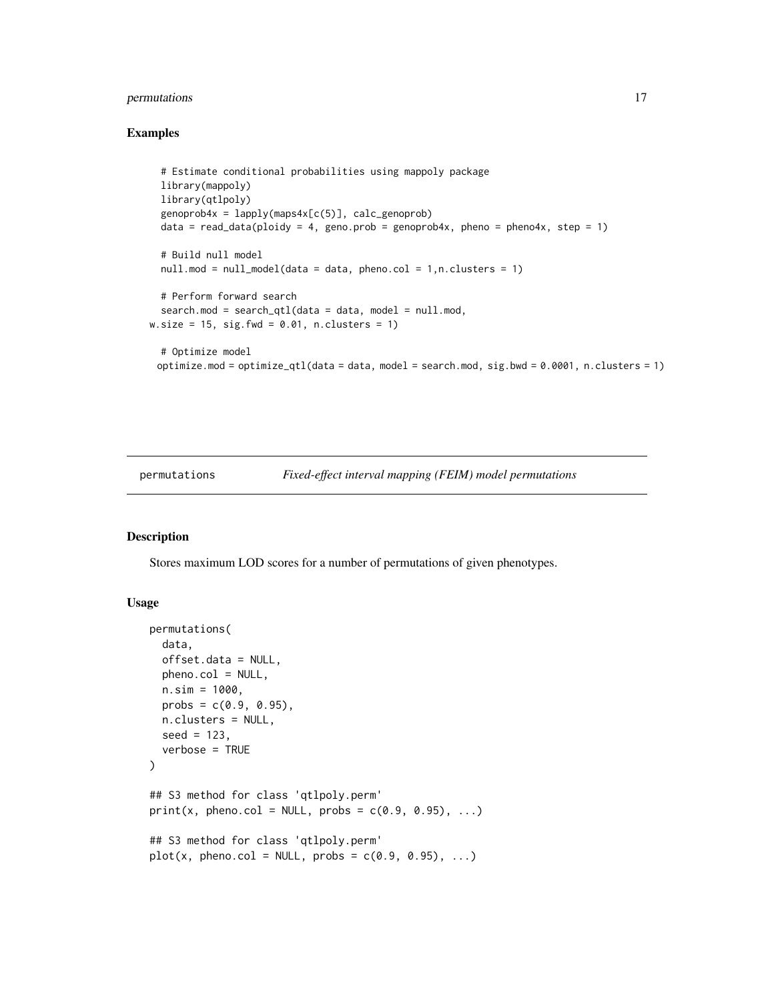## <span id="page-16-0"></span>permutations 17

#### Examples

```
# Estimate conditional probabilities using mappoly package
 library(mappoly)
 library(qtlpoly)
 genoprob4x = \text{lapply}(maps4x[c(5)], calc\_genoprob)data = read_data(ploidy = 4, geno.prob = genoprob4x, pheno = pheno4x, step = 1)
 # Build null model
 nullmod = null_model(data = data, phonecol = 1, n.classers = 1)# Perform forward search
 search.mod = search_qtl(data = data, model = null.mod,w.size = 15, sig.fwd = 0.01, n.clusters = 1)
 # Optimize model
 optimize.mod = optimize_qtl(data = data, model = search.mod, sig.bwd = 0.0001, n.clusters = 1)
```
<span id="page-16-1"></span>

permutations *Fixed-effect interval mapping (FEIM) model permutations*

#### Description

Stores maximum LOD scores for a number of permutations of given phenotypes.

#### Usage

```
permutations(
  data,
  offset.data = NULL,
 pheno.col = NULL,
 n.sim = 1000,
 probs = c(0.9, 0.95),
  n.clusters = NULL,
  seed = 123,
  verbose = TRUE
\lambda## S3 method for class 'qtlpoly.perm'
print(x, pheno.col = NULL, probs = c(0.9, 0.95), ...)
## S3 method for class 'qtlpoly.perm'
plot(x, pheno.col = NULL, probs = c(0.9, 0.95), ...)
```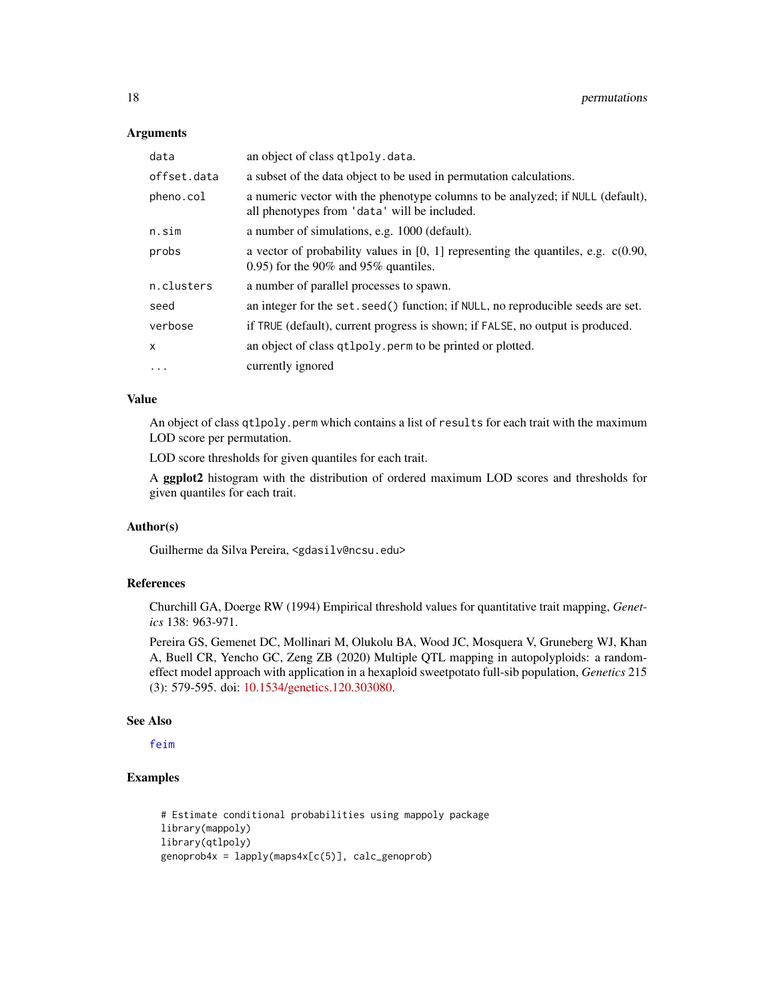#### Arguments

| data         | an object of class qtlpoly.data.                                                                                                    |
|--------------|-------------------------------------------------------------------------------------------------------------------------------------|
| offset.data  | a subset of the data object to be used in permutation calculations.                                                                 |
| pheno.col    | a numeric vector with the phenotype columns to be analyzed; if NULL (default),<br>all phenotypes from 'data' will be included.      |
| n.sim        | a number of simulations, e.g. 1000 (default).                                                                                       |
| probs        | a vector of probability values in $[0, 1]$ representing the quantiles, e.g. $c(0.90, 1)$<br>$(0.95)$ for the 90% and 95% quantiles. |
| n.clusters   | a number of parallel processes to spawn.                                                                                            |
| seed         | an integer for the set. seed () function; if NULL, no reproducible seeds are set.                                                   |
| verbose      | if TRUE (default), current progress is shown; if FALSE, no output is produced.                                                      |
| $\mathsf{x}$ | an object of class qtlpoly. perm to be printed or plotted.                                                                          |
| $\cdots$     | currently ignored                                                                                                                   |

## Value

An object of class qtlpoly.perm which contains a list of results for each trait with the maximum LOD score per permutation.

LOD score thresholds for given quantiles for each trait.

A ggplot2 histogram with the distribution of ordered maximum LOD scores and thresholds for given quantiles for each trait.

#### Author(s)

Guilherme da Silva Pereira, <gdasilv@ncsu.edu>

## References

Churchill GA, Doerge RW (1994) Empirical threshold values for quantitative trait mapping, *Genetics* 138: 963-971.

Pereira GS, Gemenet DC, Mollinari M, Olukolu BA, Wood JC, Mosquera V, Gruneberg WJ, Khan A, Buell CR, Yencho GC, Zeng ZB (2020) Multiple QTL mapping in autopolyploids: a randomeffect model approach with application in a hexaploid sweetpotato full-sib population, *Genetics* 215 (3): 579-595. doi: [10.1534/genetics.120.303080.](https://doi.org/10.1534/genetics.120.303080)

#### See Also

[feim](#page-4-1)

```
# Estimate conditional probabilities using mappoly package
library(mappoly)
library(qtlpoly)
genoprob4x = \text{lapply}(maps4x[c(5)], calc\_genoprob)
```
<span id="page-17-0"></span>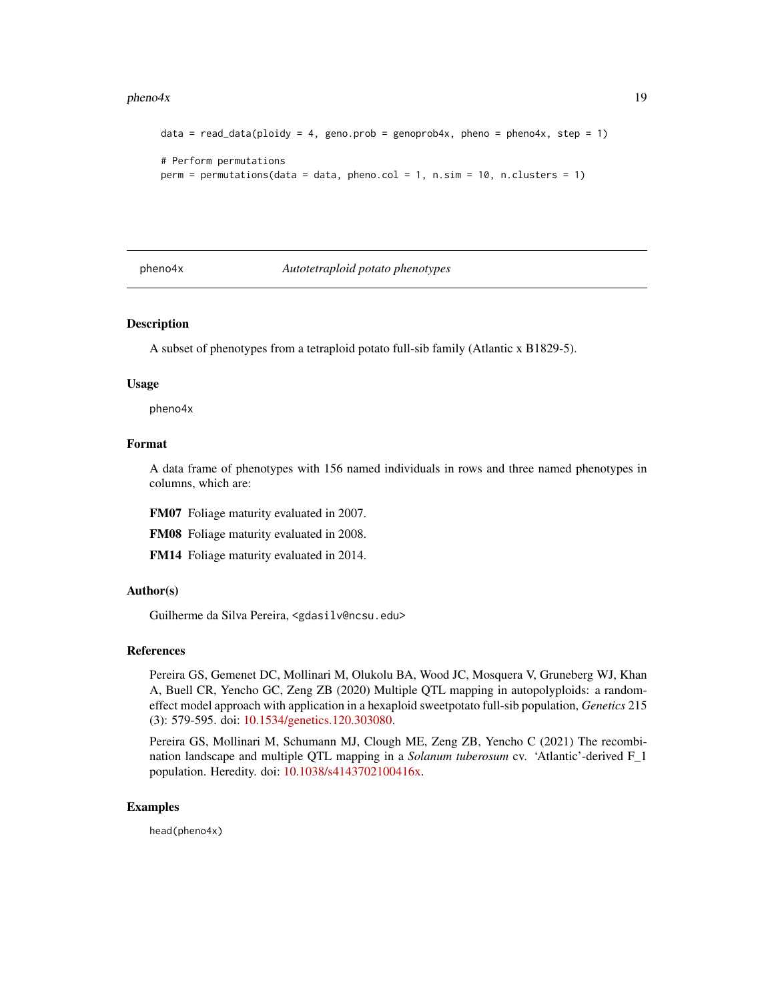#### <span id="page-18-0"></span> $pheno4x$  19

```
data = read_data(ploidy = 4, geno.prob = genoprob4x, pheno = pheno4x, step = 1)
# Perform permutations
perm = permutations(data = data, phone.col = 1, n.sim = 10, n.class: = 1)
```
<span id="page-18-1"></span>

pheno4x *Autotetraploid potato phenotypes*

#### Description

A subset of phenotypes from a tetraploid potato full-sib family (Atlantic x B1829-5).

#### Usage

pheno4x

## Format

A data frame of phenotypes with 156 named individuals in rows and three named phenotypes in columns, which are:

FM07 Foliage maturity evaluated in 2007.

FM08 Foliage maturity evaluated in 2008.

FM14 Foliage maturity evaluated in 2014.

## Author(s)

Guilherme da Silva Pereira, <gdasilv@ncsu.edu>

#### References

Pereira GS, Gemenet DC, Mollinari M, Olukolu BA, Wood JC, Mosquera V, Gruneberg WJ, Khan A, Buell CR, Yencho GC, Zeng ZB (2020) Multiple QTL mapping in autopolyploids: a randomeffect model approach with application in a hexaploid sweetpotato full-sib population, *Genetics* 215 (3): 579-595. doi: [10.1534/genetics.120.303080.](https://doi.org/10.1534/genetics.120.303080)

Pereira GS, Mollinari M, Schumann MJ, Clough ME, Zeng ZB, Yencho C (2021) The recombination landscape and multiple QTL mapping in a *Solanum tuberosum* cv. 'Atlantic'-derived F\_1 population. Heredity. doi: [10.1038/s4143702100416x.](https://doi.org/10.1038/s41437-021-00416-x)

#### Examples

head(pheno4x)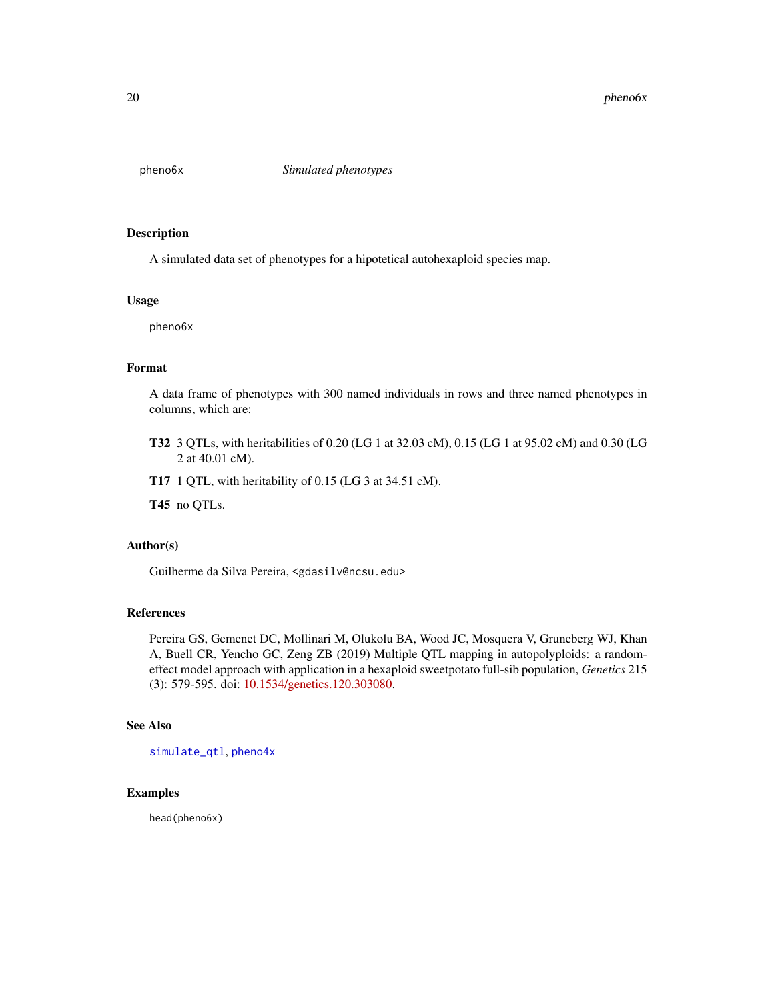<span id="page-19-1"></span><span id="page-19-0"></span>

A simulated data set of phenotypes for a hipotetical autohexaploid species map.

#### Usage

pheno6x

## Format

A data frame of phenotypes with 300 named individuals in rows and three named phenotypes in columns, which are:

- T32 3 QTLs, with heritabilities of 0.20 (LG 1 at 32.03 cM), 0.15 (LG 1 at 95.02 cM) and 0.30 (LG 2 at 40.01 cM).
- T17 1 QTL, with heritability of 0.15 (LG 3 at 34.51 cM).

T45 no QTLs.

#### Author(s)

Guilherme da Silva Pereira, <gdasilv@ncsu.edu>

## References

Pereira GS, Gemenet DC, Mollinari M, Olukolu BA, Wood JC, Mosquera V, Gruneberg WJ, Khan A, Buell CR, Yencho GC, Zeng ZB (2019) Multiple QTL mapping in autopolyploids: a randomeffect model approach with application in a hexaploid sweetpotato full-sib population, *Genetics* 215 (3): 579-595. doi: [10.1534/genetics.120.303080.](https://doi.org/10.1534/genetics.120.303080)

## See Also

[simulate\\_qtl](#page-34-1), [pheno4x](#page-18-1)

#### Examples

head(pheno6x)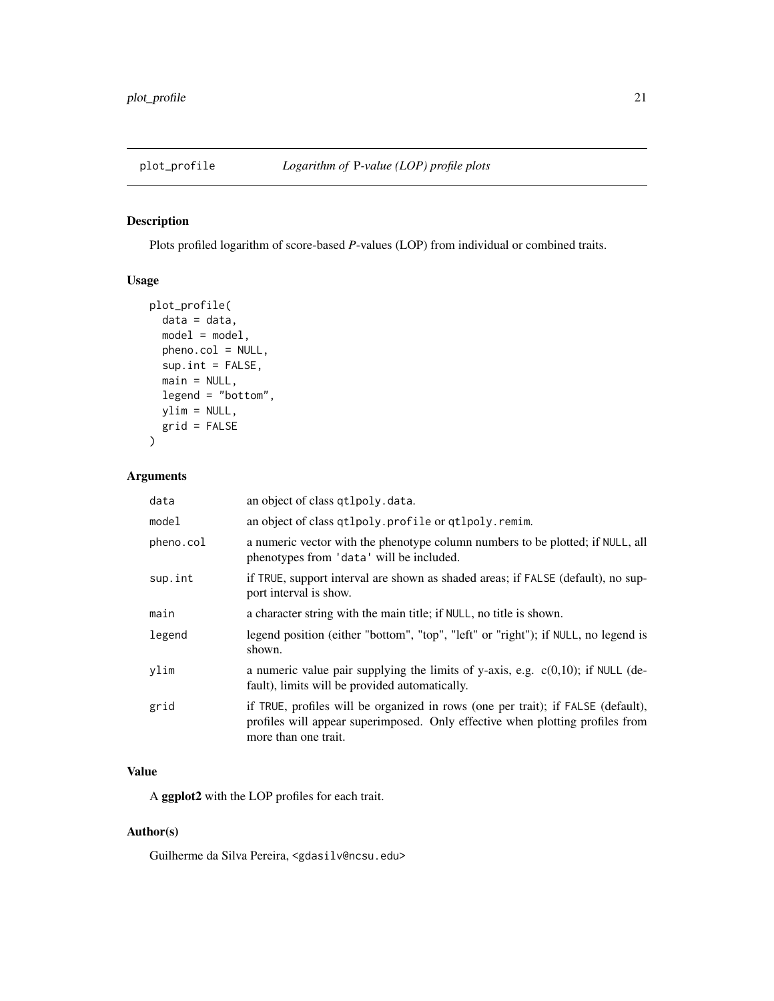<span id="page-20-0"></span>

Plots profiled logarithm of score-based *P*-values (LOP) from individual or combined traits.

## Usage

```
plot_profile(
 data = data,model = model,pheno.col = NULL,
 sup.int = FALSE,main = NULL,
 legend = "bottom",
 ylim = NULL,
 grid = FALSE
)
```
#### Arguments

| data      | an object of class qt1poly.data.                                                                                                                                                          |
|-----------|-------------------------------------------------------------------------------------------------------------------------------------------------------------------------------------------|
| model     | an object of class qtlpoly. profile or qtlpoly. remim.                                                                                                                                    |
| pheno.col | a numeric vector with the phenotype column numbers to be plotted; if NULL, all<br>phenotypes from 'data' will be included.                                                                |
| sup.int   | if TRUE, support interval are shown as shaded areas; if FALSE (default), no sup-<br>port interval is show.                                                                                |
| main      | a character string with the main title; if NULL, no title is shown.                                                                                                                       |
| legend    | legend position (either "bottom", "top", "left" or "right"); if NULL, no legend is<br>shown.                                                                                              |
| ylim      | a numeric value pair supplying the limits of y-axis, e.g. $c(0,10)$ ; if NULL (de-<br>fault), limits will be provided automatically.                                                      |
| grid      | if TRUE, profiles will be organized in rows (one per trait); if FALSE (default),<br>profiles will appear superimposed. Only effective when plotting profiles from<br>more than one trait. |

## Value

A ggplot2 with the LOP profiles for each trait.

## Author(s)

Guilherme da Silva Pereira, <gdasilv@ncsu.edu>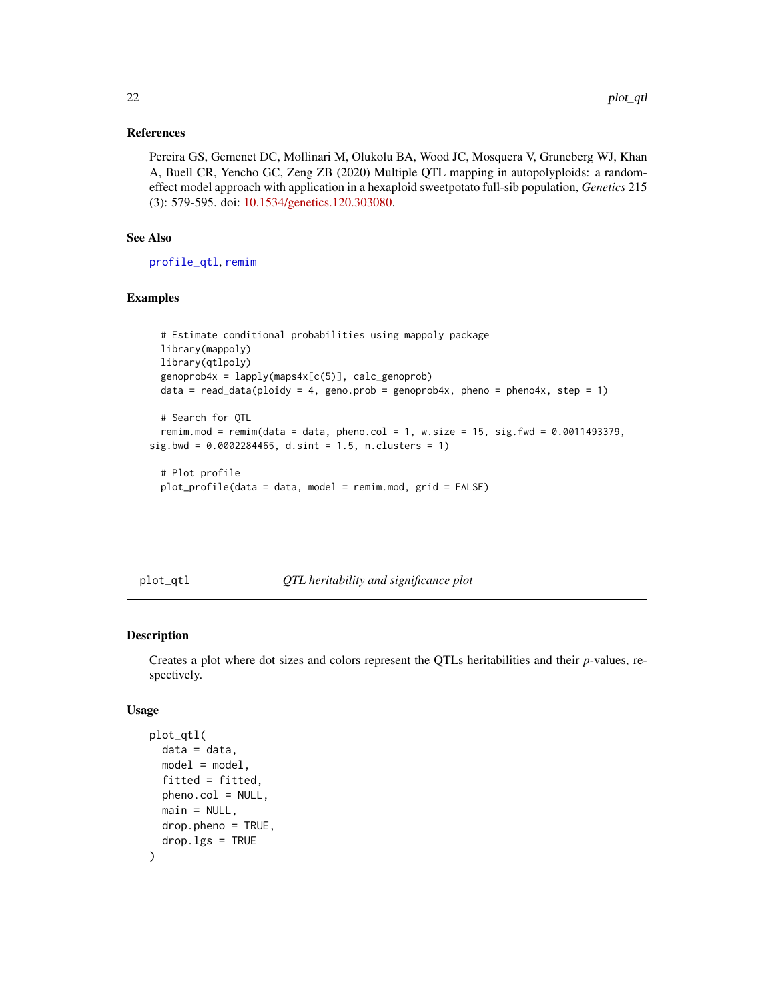#### <span id="page-21-0"></span>References

Pereira GS, Gemenet DC, Mollinari M, Olukolu BA, Wood JC, Mosquera V, Gruneberg WJ, Khan A, Buell CR, Yencho GC, Zeng ZB (2020) Multiple QTL mapping in autopolyploids: a randomeffect model approach with application in a hexaploid sweetpotato full-sib population, *Genetics* 215 (3): 579-595. doi: [10.1534/genetics.120.303080.](https://doi.org/10.1534/genetics.120.303080)

## See Also

[profile\\_qtl](#page-24-1), [remim](#page-30-1)

## Examples

```
# Estimate conditional probabilities using mappoly package
 library(mappoly)
 library(qtlpoly)
 genoprob4x = \text{lapply}(maps4x[c(5)], calc\_genoprob)data = read_data(ploidy = 4, geno.prob = genoprob4x, pheno = pheno4x, step = 1)
 # Search for QTL
 remim.mod = remim(data = data, pheno.col = 1, w.size = 15, sig.fwd = 0.0011493379,
sig.bwd = 0.0002284465, d.sint = 1.5, n.clusters = 1)
 # Plot profile
```

```
plot_profile(data = data, model = remim.mod, grid = FALSE)
```
plot\_qtl *QTL heritability and significance plot*

#### Description

Creates a plot where dot sizes and colors represent the QTLs heritabilities and their *p*-values, respectively.

#### Usage

```
plot_qtl(
  data = data,model = model,fitted = fitted,
  pheno.col = NULL,
  main = NULL,
  drop.pheno = TRUE,
  drop. lgs = TRUE)
```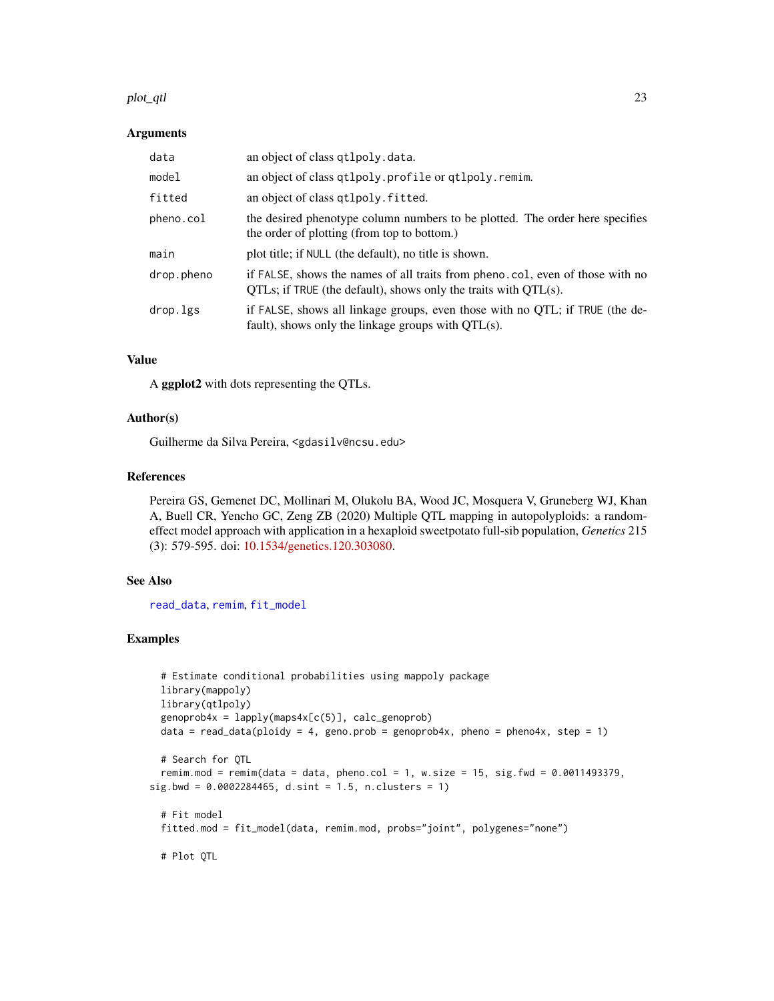#### <span id="page-22-0"></span>plot\_qtl 23

#### Arguments

| data       | an object of class qtlpoly.data.                                                                                                                       |
|------------|--------------------------------------------------------------------------------------------------------------------------------------------------------|
| model      | an object of class qtlpoly.profile or qtlpoly.remim.                                                                                                   |
| fitted     | an object of class qtlpoly. fitted.                                                                                                                    |
| pheno.col  | the desired phenotype column numbers to be plotted. The order here specifies<br>the order of plotting (from top to bottom.)                            |
| main       | plot title; if NULL (the default), no title is shown.                                                                                                  |
| drop.pheno | if FALSE, shows the names of all traits from pheno.col, even of those with no<br>$QTLs$ ; if TRUE (the default), shows only the traits with $QTL(s)$ . |
| drop.lgs   | if FALSE, shows all linkage groups, even those with no QTL; if TRUE (the de-<br>fault), shows only the linkage groups with $QTL(s)$ .                  |

#### Value

A ggplot2 with dots representing the QTLs.

#### Author(s)

Guilherme da Silva Pereira, <gdasilv@ncsu.edu>

#### References

Pereira GS, Gemenet DC, Mollinari M, Olukolu BA, Wood JC, Mosquera V, Gruneberg WJ, Khan A, Buell CR, Yencho GC, Zeng ZB (2020) Multiple QTL mapping in autopolyploids: a randomeffect model approach with application in a hexaploid sweetpotato full-sib population, *Genetics* 215 (3): 579-595. doi: [10.1534/genetics.120.303080.](https://doi.org/10.1534/genetics.120.303080)

### See Also

[read\\_data](#page-27-1), [remim](#page-30-1), [fit\\_model](#page-6-1)

```
# Estimate conditional probabilities using mappoly package
 library(mappoly)
 library(qtlpoly)
 genoprob4x = \text{lapply}(maps4x[c(5)], calc\_genoprob)data = read_data(ploidy = 4, geno.prob = genoprob4x, pheno = pheno4x, step = 1)
 # Search for QTL
 remim.mod = remim(data = data, pheno.col = 1, w.size = 15, sig.fwd = 0.0011493379,
sig.bwd = 0.0002284465, d.sint = 1.5, n.clusters = 1)
 # Fit model
 fitted.mod = fit_model(data, remim.mod, probs="joint", polygenes="none")
 # Plot QTL
```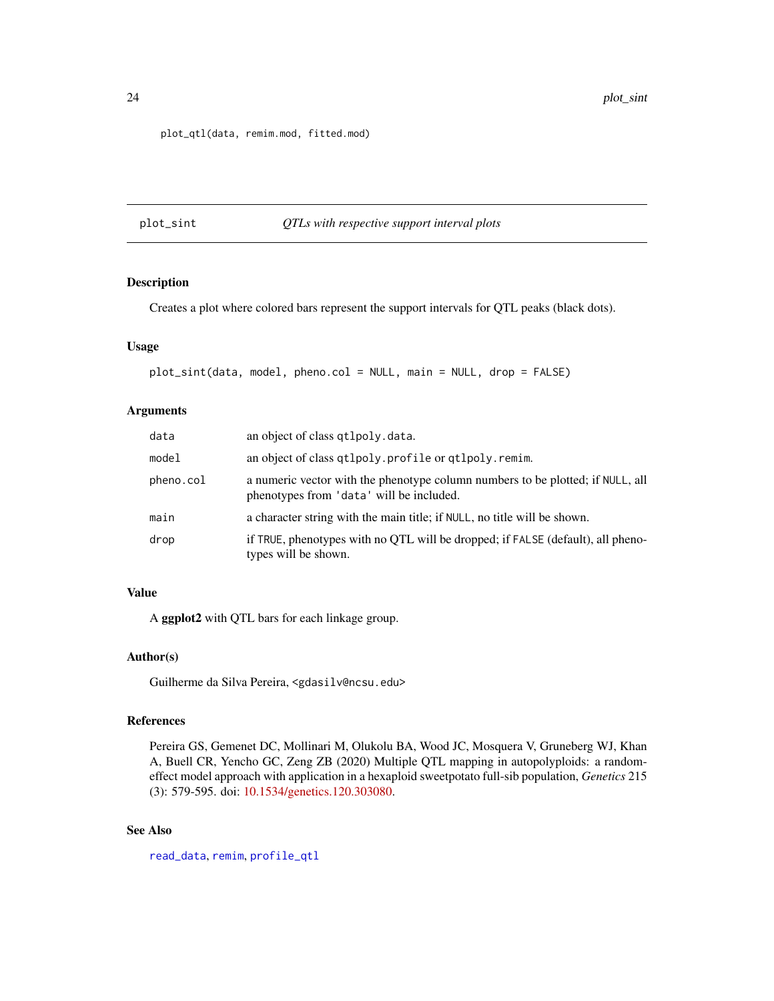#### <span id="page-23-0"></span>plot\_qtl(data, remim.mod, fitted.mod)

#### plot\_sint *QTLs with respective support interval plots*

## Description

Creates a plot where colored bars represent the support intervals for QTL peaks (black dots).

#### Usage

```
plot_sint(data, model, pheno.col = NULL, main = NULL, drop = FALSE)
```
## Arguments

| data      | an object of class qtlpoly.data.                                                                                           |
|-----------|----------------------------------------------------------------------------------------------------------------------------|
| model     | an object of class qtlpoly.profile or qtlpoly.remim.                                                                       |
| pheno.col | a numeric vector with the phenotype column numbers to be plotted; if NULL, all<br>phenotypes from 'data' will be included. |
| main      | a character string with the main title; if NULL, no title will be shown.                                                   |
| drop      | if TRUE, phenotypes with no QTL will be dropped; if FALSE (default), all pheno-<br>types will be shown.                    |

## Value

A ggplot2 with QTL bars for each linkage group.

#### Author(s)

Guilherme da Silva Pereira, <gdasilv@ncsu.edu>

#### References

Pereira GS, Gemenet DC, Mollinari M, Olukolu BA, Wood JC, Mosquera V, Gruneberg WJ, Khan A, Buell CR, Yencho GC, Zeng ZB (2020) Multiple QTL mapping in autopolyploids: a randomeffect model approach with application in a hexaploid sweetpotato full-sib population, *Genetics* 215 (3): 579-595. doi: [10.1534/genetics.120.303080.](https://doi.org/10.1534/genetics.120.303080)

## See Also

[read\\_data](#page-27-1), [remim](#page-30-1), [profile\\_qtl](#page-24-1)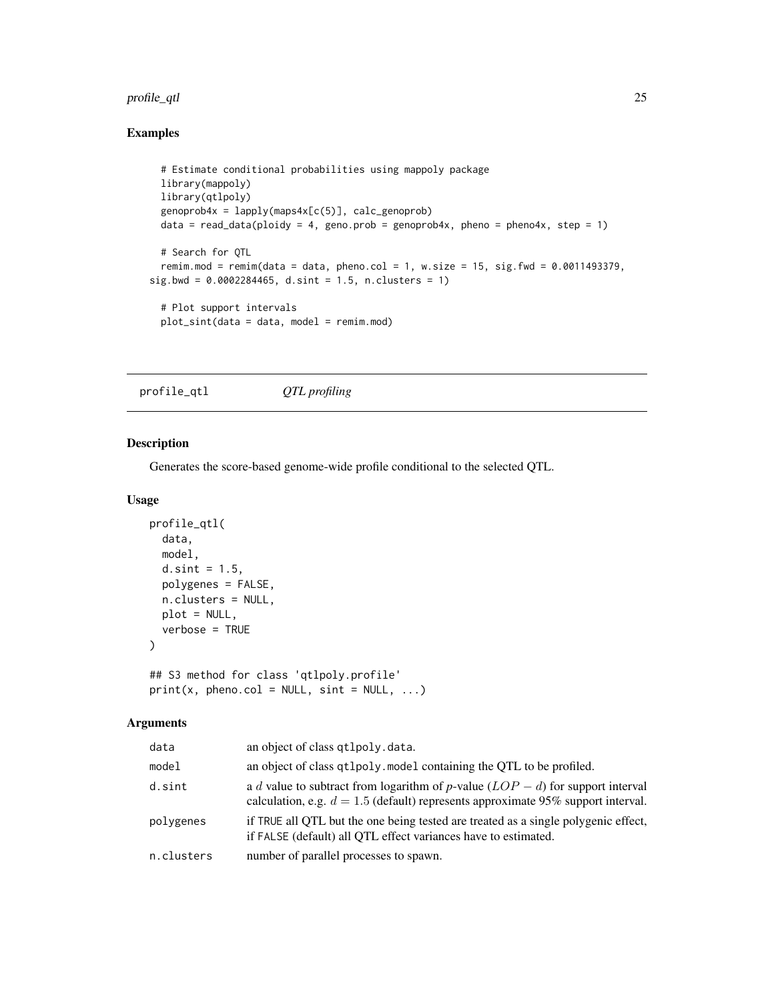## <span id="page-24-0"></span>profile\_qtl 25

## Examples

```
# Estimate conditional probabilities using mappoly package
 library(mappoly)
 library(qtlpoly)
 genoprob4x = \text{lapply}(maps4x[c(5)], calc\_genoprob)data = read_data(ploidy = 4, geno.prob = genoprob4x, pheno = pheno4x, step = 1)
 # Search for QTL
 remim.mod = remim(data = data, pheno.col = 1, w.size = 15, sig.fwd = 0.0011493379,
sig.bwd = 0.0002284465, d.sint = 1.5, n.clusters = 1)
 # Plot support intervals
 plot_sint(data = data, model = remim.mod)
```
<span id="page-24-1"></span>profile\_qtl *QTL profiling*

#### Description

Generates the score-based genome-wide profile conditional to the selected QTL.

#### Usage

```
profile_qtl(
  data,
 model,
  d.sint = 1.5,
 polygenes = FALSE,
 n.clusters = NULL,
 plot = NULL,
  verbose = TRUE
\lambda
```
## S3 method for class 'qtlpoly.profile'  $print(x, pheno.col = NULL, sint = NULL, ...)$ 

## Arguments

| data       | an object of class qtlpoly.data.                                                                                                                                       |
|------------|------------------------------------------------------------------------------------------------------------------------------------------------------------------------|
| model      | an object of class qtlpoly. model containing the QTL to be profiled.                                                                                                   |
| d.sint     | a d value to subtract from logarithm of p-value $(LOP - d)$ for support interval<br>calculation, e.g. $d = 1.5$ (default) represents approximate 95% support interval. |
| polygenes  | if TRUE all QTL but the one being tested are treated as a single polygenic effect,<br>if FALSE (default) all QTL effect variances have to estimated.                   |
| n.clusters | number of parallel processes to spawn.                                                                                                                                 |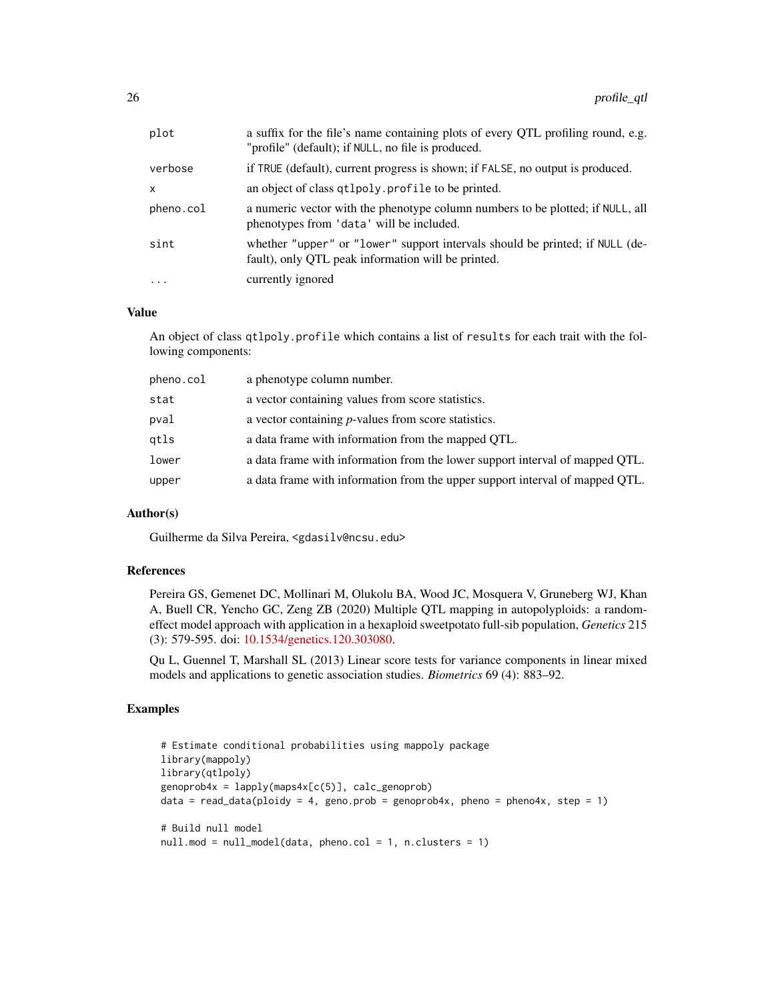| plot      | a suffix for the file's name containing plots of every QTL profiling round, e.g.<br>"profile" (default); if NULL, no file is produced. |
|-----------|----------------------------------------------------------------------------------------------------------------------------------------|
| verbose   | if TRUE (default), current progress is shown; if FALSE, no output is produced.                                                         |
| x         | an object of class qtlpoly. profile to be printed.                                                                                     |
| pheno.col | a numeric vector with the phenotype column numbers to be plotted; if NULL, all<br>phenotypes from 'data' will be included.             |
| sint      | whether "upper" or "lower" support intervals should be printed; if NULL (de-<br>fault), only QTL peak information will be printed.     |
| $\cdot$   | currently ignored                                                                                                                      |

## Value

An object of class qtlpoly.profile which contains a list of results for each trait with the following components:

| pheno.col | a phenotype column number.                                                   |
|-----------|------------------------------------------------------------------------------|
| stat      | a vector containing values from score statistics.                            |
| pval      | a vector containing <i>p</i> -values from score statistics.                  |
| qtls      | a data frame with information from the mapped OTL.                           |
| lower     | a data frame with information from the lower support interval of mapped QTL. |
| upper     | a data frame with information from the upper support interval of mapped QTL. |
|           |                                                                              |

#### Author(s)

Guilherme da Silva Pereira, <gdasilv@ncsu.edu>

## References

Pereira GS, Gemenet DC, Mollinari M, Olukolu BA, Wood JC, Mosquera V, Gruneberg WJ, Khan A, Buell CR, Yencho GC, Zeng ZB (2020) Multiple QTL mapping in autopolyploids: a randomeffect model approach with application in a hexaploid sweetpotato full-sib population, *Genetics* 215 (3): 579-595. doi: [10.1534/genetics.120.303080.](https://doi.org/10.1534/genetics.120.303080)

Qu L, Guennel T, Marshall SL (2013) Linear score tests for variance components in linear mixed models and applications to genetic association studies. *Biometrics* 69 (4): 883–92.

```
# Estimate conditional probabilities using mappoly package
library(mappoly)
library(qtlpoly)
genoprob4x = \text{lapply}(maps4x[c(5)], calc\_genoprob)data = read_data(ploidy = 4, geno.prob = genoprob4x, pheno = pheno4x, step = 1)
# Build null model
null.mod = null_model(data, pheno.col = 1, n.clusters = 1)
```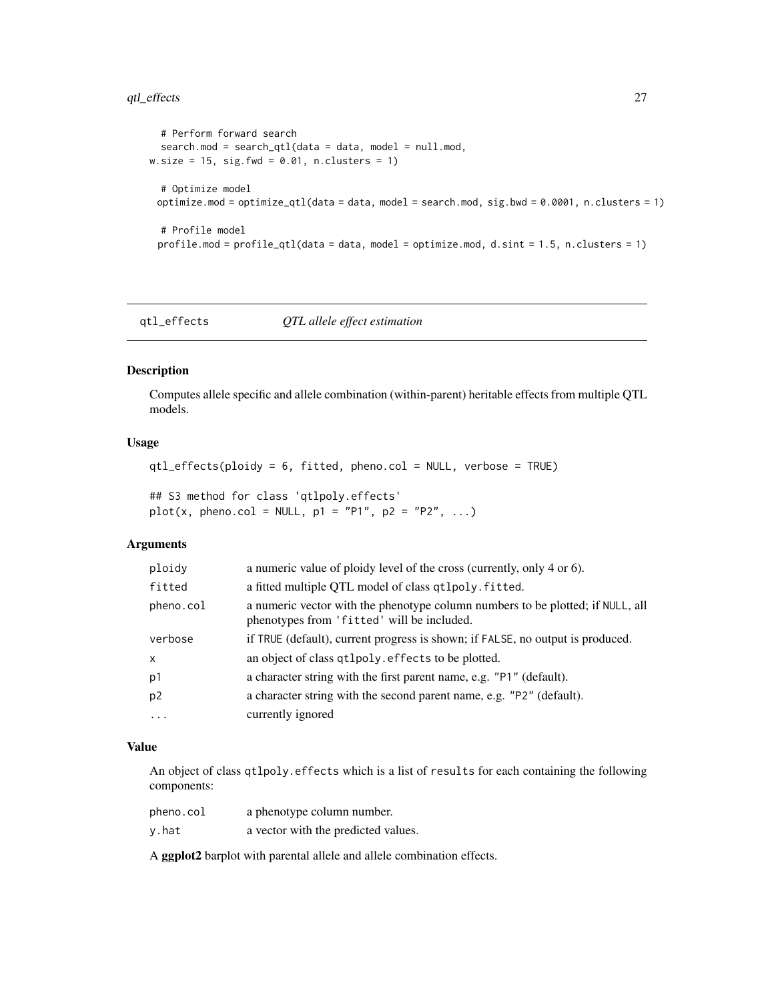## <span id="page-26-0"></span>qtl\_effects 27

```
# Perform forward search
  search.mod = search_qtl(data = data, model = null.mod,w.size = 15, sig.fwd = 0.01, n.clusters = 1)
  # Optimize model
 optimize.mod = optimize_qtl(data = data, model = search.mod, sig.bwd = 0.0001, n.clusters = 1)
  # Profile model
 profile.mod = profile_qtl(data = data, model = optimize.mod, d.sint = 1.5, n.clusters = 1)
```
qtl\_effects *QTL allele effect estimation*

#### Description

Computes allele specific and allele combination (within-parent) heritable effects from multiple QTL models.

## Usage

```
qtl_effects(ploidy = 6, fitted, pheno.col = NULL, verbose = TRUE)
```
## S3 method for class 'qtlpoly.effects'  $plot(x, pheno.col = NULL, p1 = "P1", p2 = "P2", ...)$ 

#### Arguments

| ploidy    | a numeric value of ploidy level of the cross (currently, only 4 or 6).                                                       |
|-----------|------------------------------------------------------------------------------------------------------------------------------|
| fitted    | a fitted multiple QTL model of class qtlpoly. fitted.                                                                        |
| pheno.col | a numeric vector with the phenotype column numbers to be plotted; if NULL, all<br>phenotypes from 'fitted' will be included. |
| verbose   | if TRUE (default), current progress is shown; if FALSE, no output is produced.                                               |
| X.        | an object of class qtlpoly. effects to be plotted.                                                                           |
| p1        | a character string with the first parent name, e.g. "P1" (default).                                                          |
| p2        | a character string with the second parent name, e.g. "P2" (default).                                                         |
| .         | currently ignored                                                                                                            |
|           |                                                                                                                              |

#### Value

An object of class qtlpoly.effects which is a list of results for each containing the following components:

| pheno.col | a phenotype column number.          |
|-----------|-------------------------------------|
| y.hat     | a vector with the predicted values. |

A ggplot2 barplot with parental allele and allele combination effects.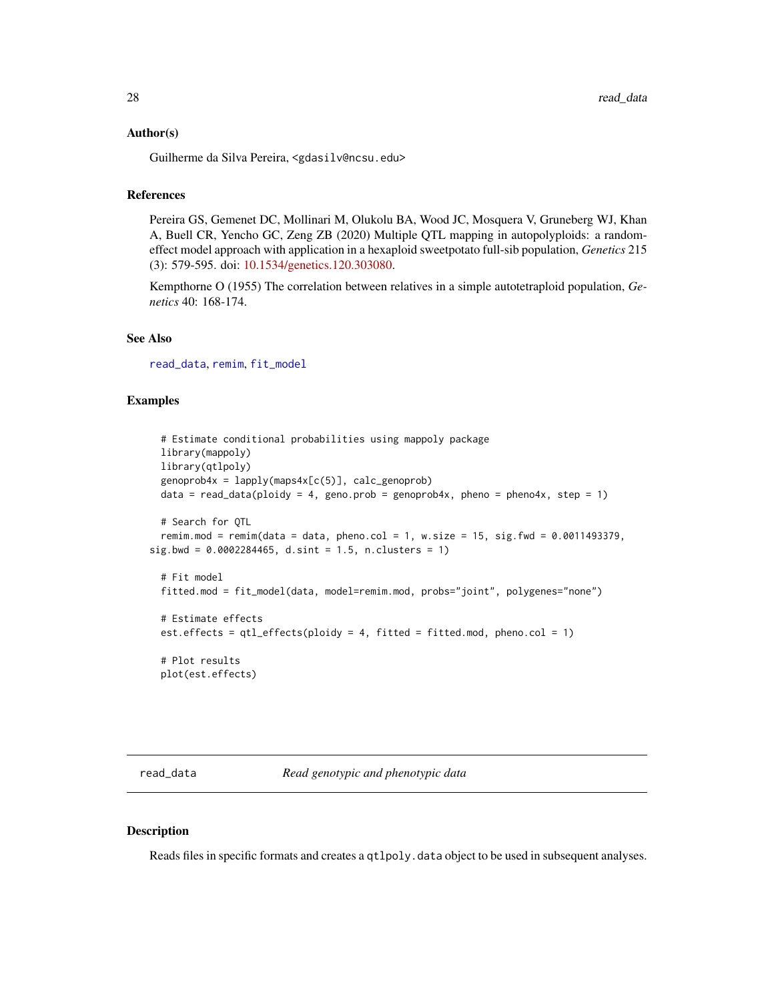#### <span id="page-27-0"></span>Author(s)

Guilherme da Silva Pereira, <gdasilv@ncsu.edu>

## References

Pereira GS, Gemenet DC, Mollinari M, Olukolu BA, Wood JC, Mosquera V, Gruneberg WJ, Khan A, Buell CR, Yencho GC, Zeng ZB (2020) Multiple QTL mapping in autopolyploids: a randomeffect model approach with application in a hexaploid sweetpotato full-sib population, *Genetics* 215 (3): 579-595. doi: [10.1534/genetics.120.303080.](https://doi.org/10.1534/genetics.120.303080)

Kempthorne O (1955) The correlation between relatives in a simple autotetraploid population, *Genetics* 40: 168-174.

#### See Also

[read\\_data](#page-27-1), [remim](#page-30-1), [fit\\_model](#page-6-1)

### Examples

```
# Estimate conditional probabilities using mappoly package
 library(mappoly)
 library(qtlpoly)
 genoprob4x = lapply(maps4x[c(5)], calc_genoprob)
 data = read_data(ploidy = 4, geno.prob = genoprob4x, pheno = pheno4x, step = 1)
 # Search for QTL
 remim.mod = remim(data = data, pheno.col = 1, w.size = 15, sig.fwd = 0.0011493379,
sig.bwd = 0.0002284465, d.sint = 1.5, n.clusters = 1)
 # Fit model
 fitted.mod = fit_model(data, model=remim.mod, probs="joint", polygenes="none")
 # Estimate effects
 est.effects = qtLeffects(ploidy = 4, fitted = fitted.mod, pheno.col = 1)
 # Plot results
 plot(est.effects)
```
<span id="page-27-1"></span>read\_data *Read genotypic and phenotypic data*

### Description

Reads files in specific formats and creates a qtlpoly.data object to be used in subsequent analyses.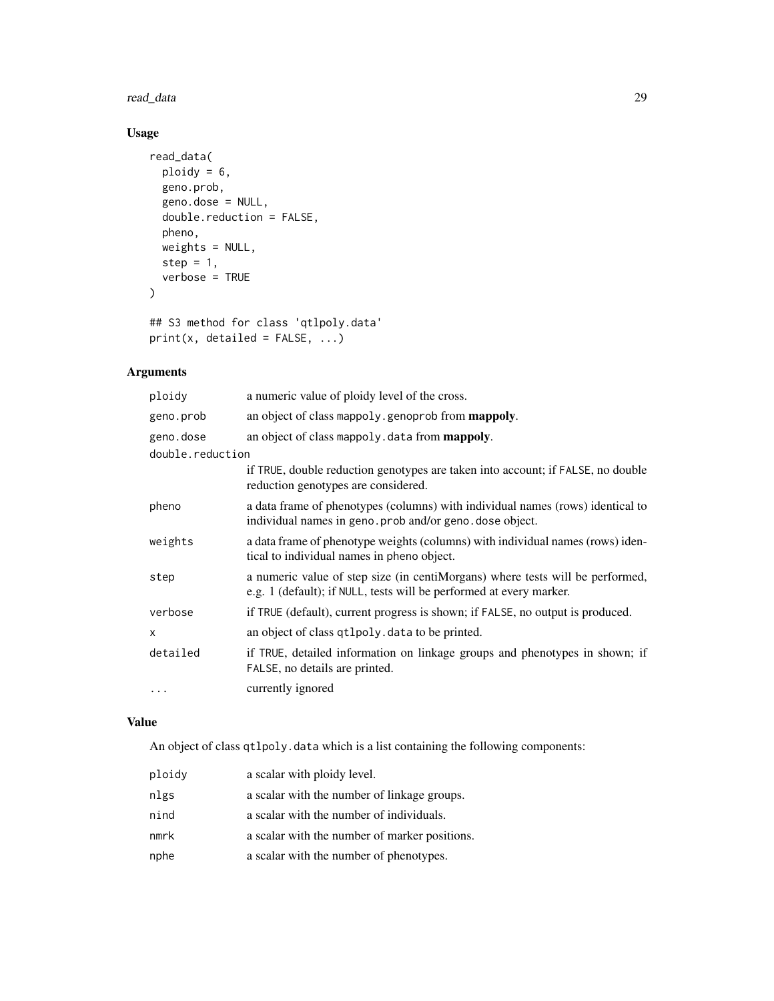#### read\_data 29

## Usage

```
read_data(
 ploidy = 6,
 geno.prob,
 geno.dose = NULL,
 double.reduction = FALSE,
 pheno,
 weights = NULL,
 step = 1,
 verbose = TRUE
\mathcal{L}## S3 method for class 'qtlpoly.data'
```

```
print(x, detailed = FALSE, ...)
```
## Arguments

| ploidy           | a numeric value of ploidy level of the cross.                                                                                                        |
|------------------|------------------------------------------------------------------------------------------------------------------------------------------------------|
| geno.prob        | an object of class mappoly. genoprob from <b>mappoly</b> .                                                                                           |
| geno.dose        | an object of class mappoly. data from mappoly.                                                                                                       |
| double.reduction |                                                                                                                                                      |
|                  | if TRUE, double reduction genotypes are taken into account; if FALSE, no double<br>reduction genotypes are considered.                               |
| pheno            | a data frame of phenotypes (columns) with individual names (rows) identical to<br>individual names in geno. prob and/or geno. dose object.           |
| weights          | a data frame of phenotype weights (columns) with individual names (rows) iden-<br>tical to individual names in pheno object.                         |
| step             | a numeric value of step size (in centiMorgans) where tests will be performed,<br>e.g. 1 (default); if NULL, tests will be performed at every marker. |
| verbose          | if TRUE (default), current progress is shown; if FALSE, no output is produced.                                                                       |
| X                | an object of class qtlpoly. data to be printed.                                                                                                      |
| detailed         | if TRUE, detailed information on linkage groups and phenotypes in shown; if<br>FALSE, no details are printed.                                        |
| $\cdots$         | currently ignored                                                                                                                                    |

### Value

An object of class qtlpoly.data which is a list containing the following components:

| ploidy | a scalar with ploidy level.                   |
|--------|-----------------------------------------------|
| nlgs   | a scalar with the number of linkage groups.   |
| nind   | a scalar with the number of individuals.      |
| nmrk   | a scalar with the number of marker positions. |
| nphe   | a scalar with the number of phenotypes.       |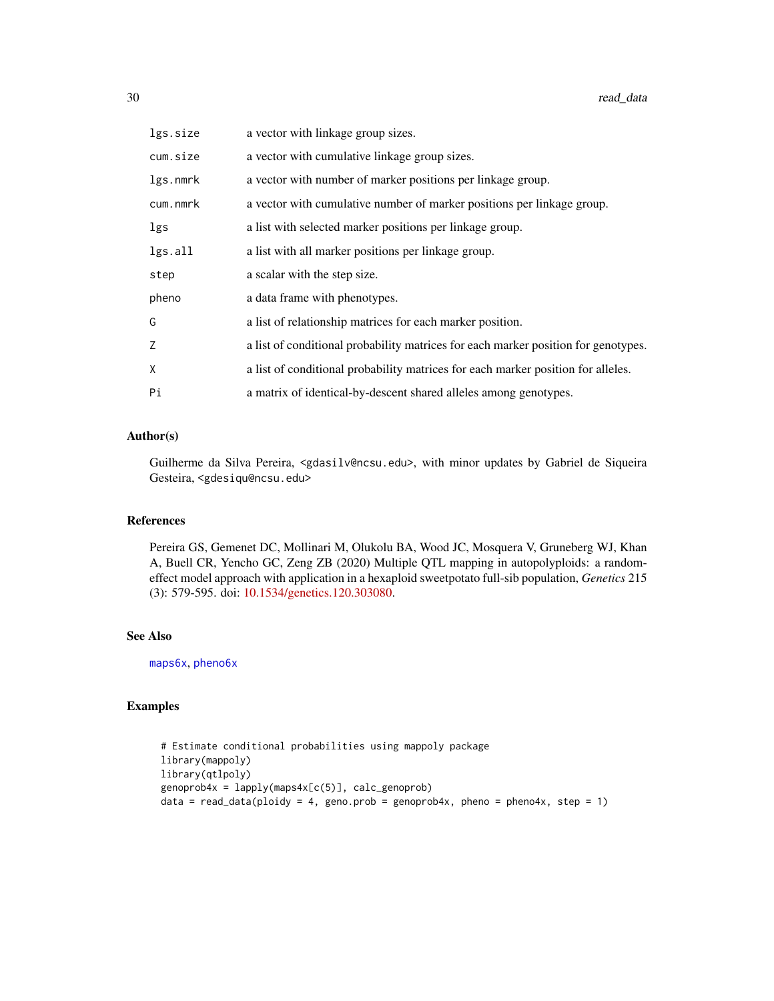<span id="page-29-0"></span>

| lgs.size | a vector with linkage group sizes.                                                 |
|----------|------------------------------------------------------------------------------------|
| cum.size | a vector with cumulative linkage group sizes.                                      |
| lgs.nmrk | a vector with number of marker positions per linkage group.                        |
| cum.nmrk | a vector with cumulative number of marker positions per linkage group.             |
| lgs      | a list with selected marker positions per linkage group.                           |
| lgs.all  | a list with all marker positions per linkage group.                                |
| step     | a scalar with the step size.                                                       |
| pheno    | a data frame with phenotypes.                                                      |
| G        | a list of relationship matrices for each marker position.                          |
| Z        | a list of conditional probability matrices for each marker position for genotypes. |
| X        | a list of conditional probability matrices for each marker position for alleles.   |
| Pi       | a matrix of identical-by-descent shared alleles among genotypes.                   |

## Author(s)

Guilherme da Silva Pereira, <gdasilv@ncsu.edu>, with minor updates by Gabriel de Siqueira Gesteira, <gdesiqu@ncsu.edu>

## References

Pereira GS, Gemenet DC, Mollinari M, Olukolu BA, Wood JC, Mosquera V, Gruneberg WJ, Khan A, Buell CR, Yencho GC, Zeng ZB (2020) Multiple QTL mapping in autopolyploids: a randomeffect model approach with application in a hexaploid sweetpotato full-sib population, *Genetics* 215 (3): 579-595. doi: [10.1534/genetics.120.303080.](https://doi.org/10.1534/genetics.120.303080)

## See Also

[maps6x](#page-10-1), [pheno6x](#page-19-1)

```
# Estimate conditional probabilities using mappoly package
library(mappoly)
library(qtlpoly)
genoprob4x = \text{lapply}(maps4x[c(5)], calc\_genoprob)data = read_data(ploidy = 4, geno.prob = genoprob4x, pheno = pheno4x, step = 1)
```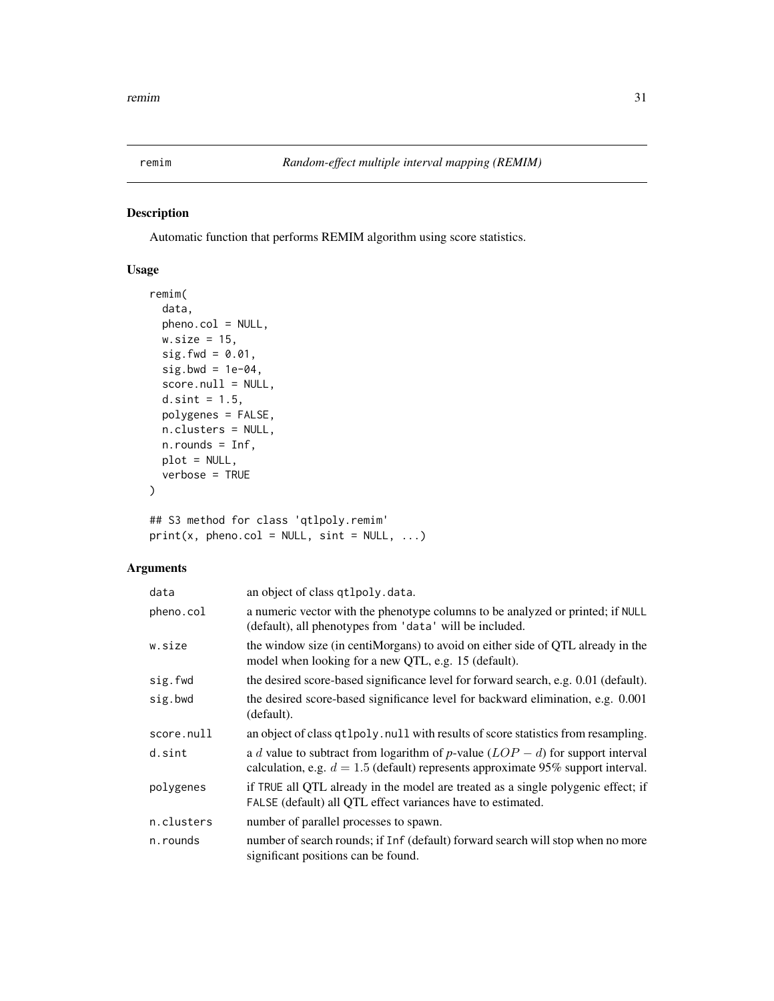<span id="page-30-1"></span><span id="page-30-0"></span>

Automatic function that performs REMIM algorithm using score statistics.

## Usage

```
remim(
  data,
 pheno.col = NULL,
 w.size = 15,
  sig.fwd = 0.01,sig.bwd = 1e-04,
  score.null = NULL,
  d.sint = 1.5,
 polygenes = FALSE,
 n.clusters = NULL,
 n.rounds = Inf,
 plot = NULL,
 verbose = TRUE
)
```
## S3 method for class 'qtlpoly.remim'  $print(x, pheno.col = NULL, sint = NULL, ...)$ 

## Arguments

| data       | an object of class qtlpoly.data.                                                                                                                                       |
|------------|------------------------------------------------------------------------------------------------------------------------------------------------------------------------|
| pheno.col  | a numeric vector with the phenotype columns to be analyzed or printed; if NULL<br>(default), all phenotypes from 'data' will be included.                              |
| w.size     | the window size (in centiMorgans) to avoid on either side of QTL already in the<br>model when looking for a new QTL, e.g. 15 (default).                                |
| sig.fwd    | the desired score-based significance level for forward search, e.g. 0.01 (default).                                                                                    |
| sig.bwd    | the desired score-based significance level for backward elimination, e.g. 0.001<br>(default).                                                                          |
| score.null | an object of class qt1po1y. null with results of score statistics from resampling.                                                                                     |
| d.sint     | a d value to subtract from logarithm of p-value $(LOP - d)$ for support interval<br>calculation, e.g. $d = 1.5$ (default) represents approximate 95% support interval. |
| polygenes  | if TRUE all QTL already in the model are treated as a single polygenic effect; if<br>FALSE (default) all QTL effect variances have to estimated.                       |
| n.clusters | number of parallel processes to spawn.                                                                                                                                 |
| n.rounds   | number of search rounds; if Inf (default) forward search will stop when no more<br>significant positions can be found.                                                 |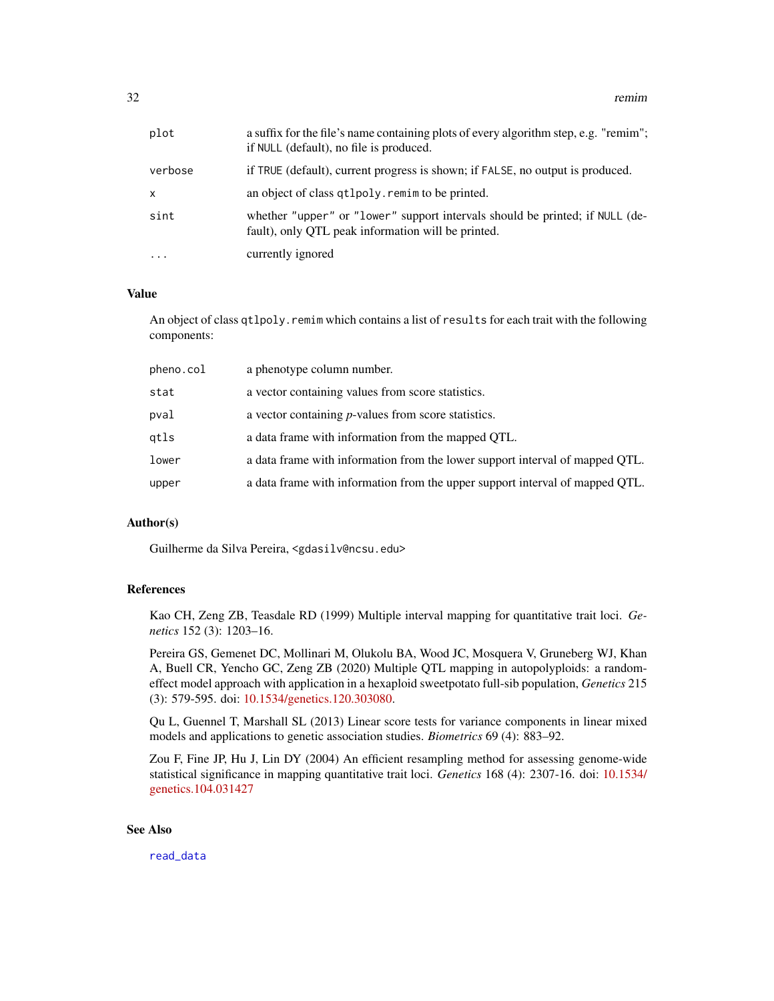<span id="page-31-0"></span>

| plot         | a suffix for the file's name containing plots of every algorithm step, e.g. "remim";<br>if NULL (default), no file is produced.    |
|--------------|------------------------------------------------------------------------------------------------------------------------------------|
| verbose      | if TRUE (default), current progress is shown; if FALSE, no output is produced.                                                     |
| $\mathsf{x}$ | an object of class qtlpoly. remim to be printed.                                                                                   |
| sint         | whether "upper" or "lower" support intervals should be printed; if NULL (de-<br>fault), only QTL peak information will be printed. |
| $\ddotsc$    | currently ignored                                                                                                                  |

## Value

An object of class qtlpoly.remim which contains a list of results for each trait with the following components:

| pheno.col | a phenotype column number.                                                   |
|-----------|------------------------------------------------------------------------------|
| stat      | a vector containing values from score statistics.                            |
| pval      | a vector containing <i>p</i> -values from score statistics.                  |
| qtls      | a data frame with information from the mapped QTL.                           |
| lower     | a data frame with information from the lower support interval of mapped QTL. |
| upper     | a data frame with information from the upper support interval of mapped QTL. |
|           |                                                                              |

#### Author(s)

Guilherme da Silva Pereira, <gdasilv@ncsu.edu>

#### References

Kao CH, Zeng ZB, Teasdale RD (1999) Multiple interval mapping for quantitative trait loci. *Genetics* 152 (3): 1203–16.

Pereira GS, Gemenet DC, Mollinari M, Olukolu BA, Wood JC, Mosquera V, Gruneberg WJ, Khan A, Buell CR, Yencho GC, Zeng ZB (2020) Multiple QTL mapping in autopolyploids: a randomeffect model approach with application in a hexaploid sweetpotato full-sib population, *Genetics* 215 (3): 579-595. doi: [10.1534/genetics.120.303080.](https://doi.org/10.1534/genetics.120.303080)

Qu L, Guennel T, Marshall SL (2013) Linear score tests for variance components in linear mixed models and applications to genetic association studies. *Biometrics* 69 (4): 883–92.

Zou F, Fine JP, Hu J, Lin DY (2004) An efficient resampling method for assessing genome-wide statistical significance in mapping quantitative trait loci. *Genetics* 168 (4): 2307-16. doi: [10.1534/](https://doi.org/10.1534/genetics.104.031427) [genetics.104.031427](https://doi.org/10.1534/genetics.104.031427)

### See Also

[read\\_data](#page-27-1)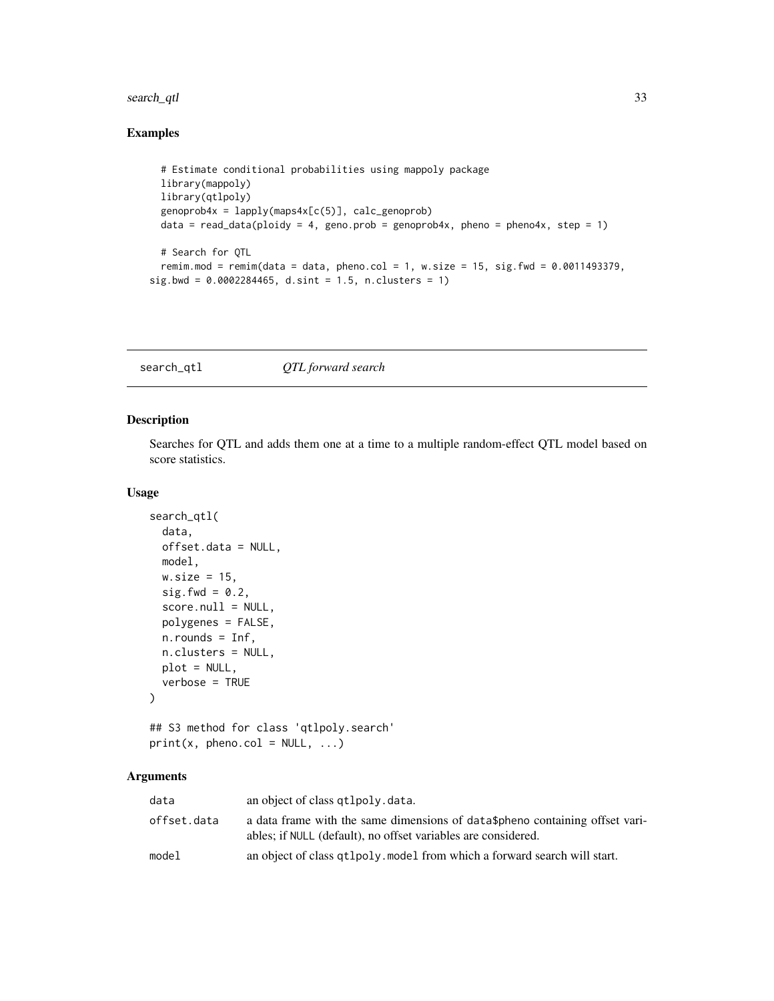## <span id="page-32-0"></span>search\_qtl 33

## Examples

```
# Estimate conditional probabilities using mappoly package
 library(mappoly)
 library(qtlpoly)
 genoprob4x = \text{lapply}(maps4x[c(5)], calc\_genoprob)data = read_data(ploidy = 4, geno.prob = genoprob4x, pheno = pheno4x, step = 1)
 # Search for QTL
 remim.mod = remim(data = data, pheno.col = 1, w.size = 15, sig.fwd = 0.0011493379,
sig.bwd = 0.0002284465, d.sint = 1.5, n.clusters = 1)
```
<span id="page-32-1"></span>search\_qtl *QTL forward search*

#### Description

Searches for QTL and adds them one at a time to a multiple random-effect QTL model based on score statistics.

## Usage

```
search_qtl(
  data,
  offset.data = NULL,
 model,
 w.size = 15,
  sig.fwd = 0.2,
  score.null = NULL,
  polygenes = FALSE,
 n.rounds = Inf,
 n.clusters = NULL,
 plot = NULL,
  verbose = TRUE
\lambda
```
## S3 method for class 'qtlpoly.search'  $print(x, pheno.col = NULL, ...)$ 

## Arguments

| data        | an object of class qtlpoly.data.                                                                                                              |
|-------------|-----------------------------------------------------------------------------------------------------------------------------------------------|
| offset.data | a data frame with the same dimensions of data\$pheno containing offset vari-<br>ables; if NULL (default), no offset variables are considered. |
| model       | an object of class qt1po1y. model from which a forward search will start.                                                                     |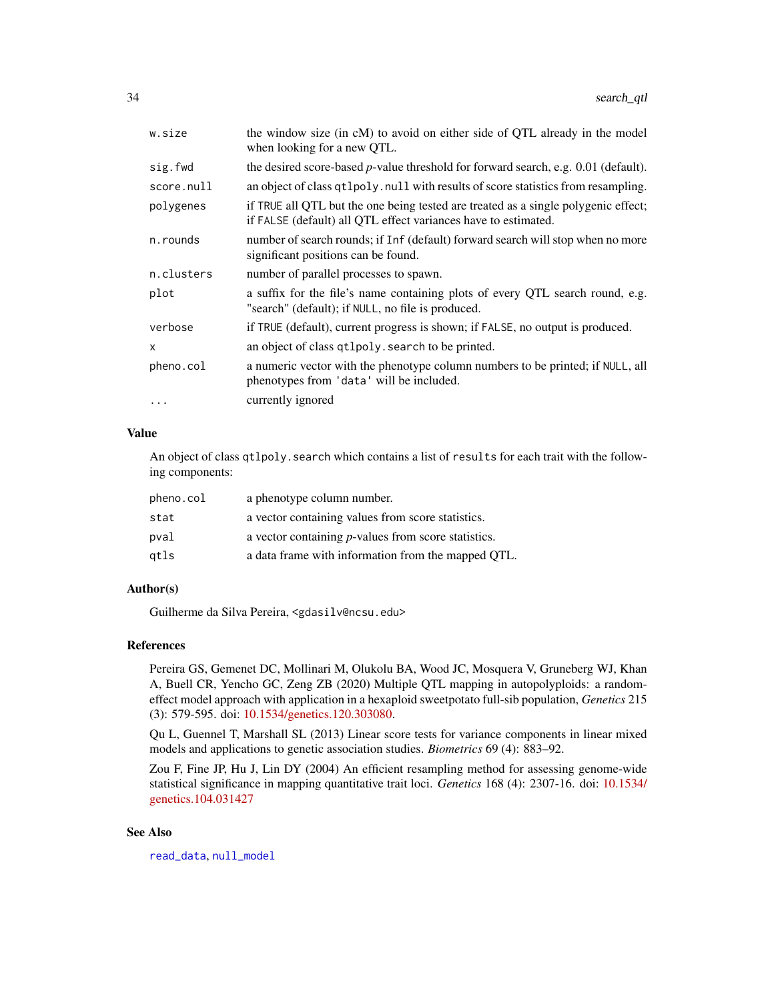<span id="page-33-0"></span>

| w.size     | the window size (in cM) to avoid on either side of QTL already in the model<br>when looking for a new QTL.                                           |
|------------|------------------------------------------------------------------------------------------------------------------------------------------------------|
| sig.fwd    | the desired score-based $p$ -value threshold for forward search, e.g. 0.01 (default).                                                                |
| score.null | an object of class qtlpoly. null with results of score statistics from resampling.                                                                   |
| polygenes  | if TRUE all QTL but the one being tested are treated as a single polygenic effect;<br>if FALSE (default) all QTL effect variances have to estimated. |
| n.rounds   | number of search rounds; if Inf (default) forward search will stop when no more<br>significant positions can be found.                               |
| n.clusters | number of parallel processes to spawn.                                                                                                               |
| plot       | a suffix for the file's name containing plots of every QTL search round, e.g.<br>"search" (default); if NULL, no file is produced.                   |
| verbose    | if TRUE (default), current progress is shown; if FALSE, no output is produced.                                                                       |
| X          | an object of class qtlpoly. search to be printed.                                                                                                    |
| pheno.col  | a numeric vector with the phenotype column numbers to be printed; if NULL, all<br>phenotypes from 'data' will be included.                           |
|            | currently ignored                                                                                                                                    |
|            |                                                                                                                                                      |

## Value

An object of class qtlpoly.search which contains a list of results for each trait with the following components:

| pheno.col | a phenotype column number.                                  |
|-----------|-------------------------------------------------------------|
| stat      | a vector containing values from score statistics.           |
| pval      | a vector containing <i>p</i> -values from score statistics. |
| gtls      | a data frame with information from the mapped OTL.          |

## Author(s)

Guilherme da Silva Pereira, <gdasilv@ncsu.edu>

## References

Pereira GS, Gemenet DC, Mollinari M, Olukolu BA, Wood JC, Mosquera V, Gruneberg WJ, Khan A, Buell CR, Yencho GC, Zeng ZB (2020) Multiple QTL mapping in autopolyploids: a randomeffect model approach with application in a hexaploid sweetpotato full-sib population, *Genetics* 215 (3): 579-595. doi: [10.1534/genetics.120.303080.](https://doi.org/10.1534/genetics.120.303080)

Qu L, Guennel T, Marshall SL (2013) Linear score tests for variance components in linear mixed models and applications to genetic association studies. *Biometrics* 69 (4): 883–92.

Zou F, Fine JP, Hu J, Lin DY (2004) An efficient resampling method for assessing genome-wide statistical significance in mapping quantitative trait loci. *Genetics* 168 (4): 2307-16. doi: [10.1534/](https://doi.org/10.1534/genetics.104.031427) [genetics.104.031427](https://doi.org/10.1534/genetics.104.031427)

## See Also

[read\\_data](#page-27-1), [null\\_model](#page-12-1)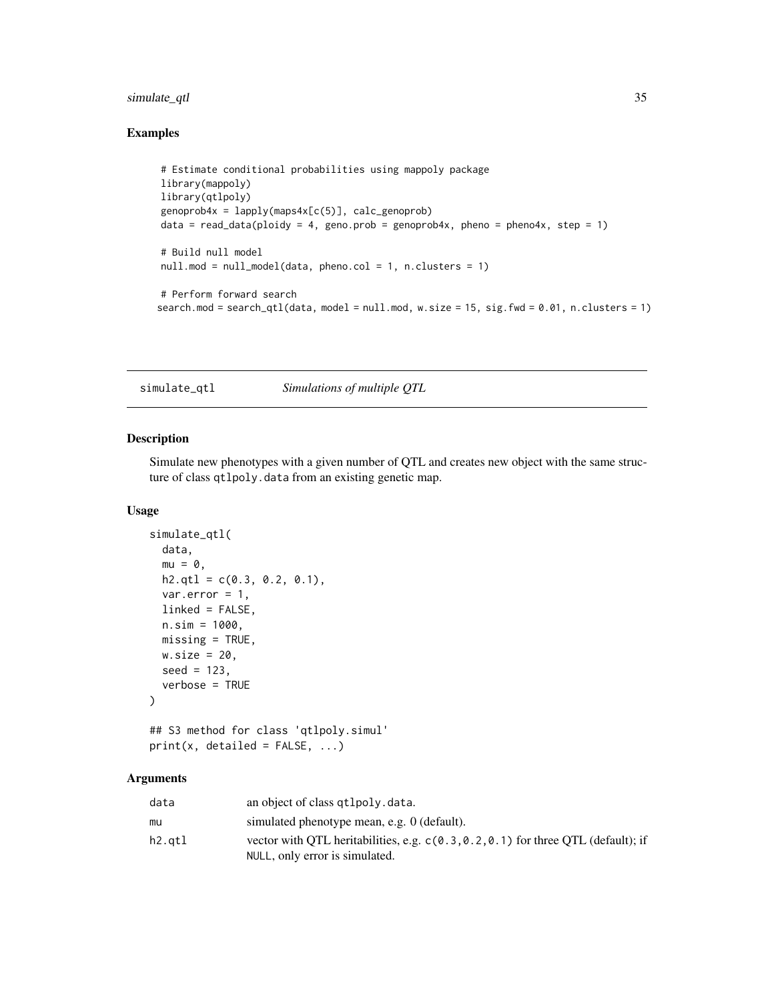## <span id="page-34-0"></span>simulate\_qtl 35

## Examples

```
# Estimate conditional probabilities using mappoly package
library(mappoly)
library(qtlpoly)
genoprob4x = \text{lapply}(maps4x[c(5)], calc\_genoprob)data = read_data(ploidy = 4, geno.prob = genoprob4x, pheno = pheno4x, step = 1)
# Build null model
null.mod = null_model(data, pheno.col = 1, n.clusters = 1)
# Perform forward search
search.mod = search_qtl(data, model = null.mod, w.size = 15, sig.fwd = 0.01, n.clusters = 1)
```
<span id="page-34-1"></span>simulate\_qtl *Simulations of multiple QTL*

## Description

Simulate new phenotypes with a given number of QTL and creates new object with the same structure of class qtlpoly.data from an existing genetic map.

#### Usage

```
simulate_qtl(
 data,
 mu = 0,
 h2.qt1 = c(0.3, 0.2, 0.1),var.error = 1,
 linked = FALSE,
 n.sim = 1000,missing = TRUE,
 w.size = 20,
 seed = 123,
  verbose = TRUE
\lambda
```
## S3 method for class 'qtlpoly.simul'  $print(x, detailed = FALSE, ...)$ 

## Arguments

| data   | an object of class qtlpoly.data.                                                                                      |
|--------|-----------------------------------------------------------------------------------------------------------------------|
| mu     | simulated phenotype mean, e.g. 0 (default).                                                                           |
| h2.qtl | vector with QTL heritabilities, e.g. $c(0.3, 0.2, 0.1)$ for three QTL (default); if<br>NULL, only error is simulated. |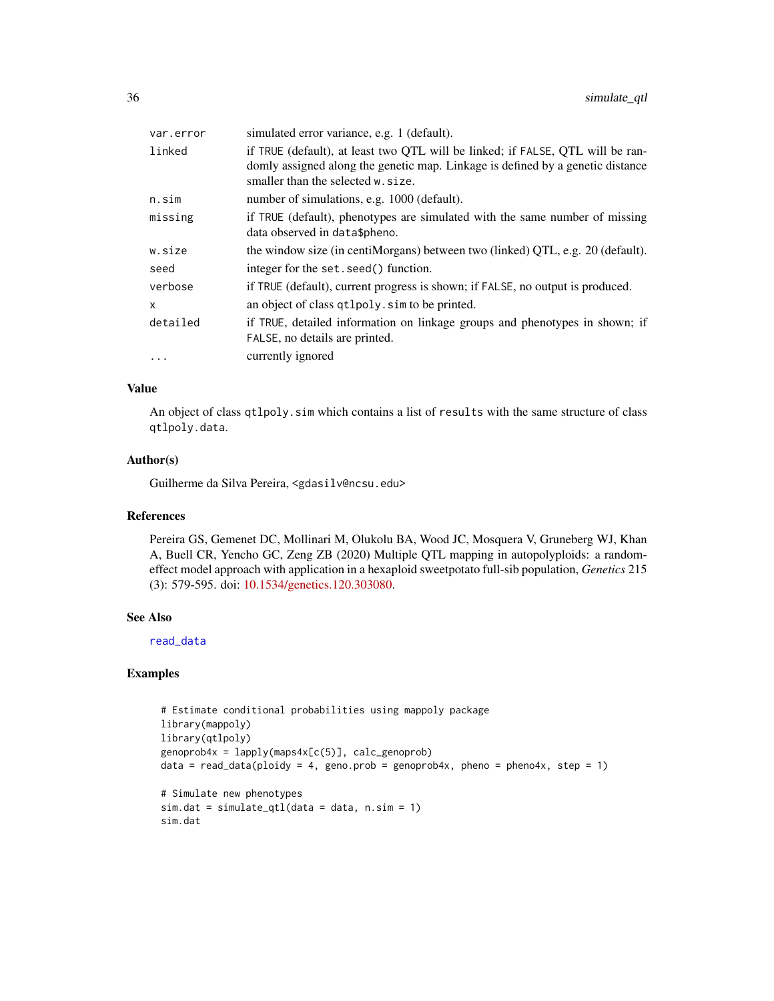<span id="page-35-0"></span>

| var.error | simulated error variance, e.g. 1 (default).                                                                                                                                                            |
|-----------|--------------------------------------------------------------------------------------------------------------------------------------------------------------------------------------------------------|
| linked    | if TRUE (default), at least two QTL will be linked; if FALSE, QTL will be ran-<br>domly assigned along the genetic map. Linkage is defined by a genetic distance<br>smaller than the selected w. size. |
| n.sim     | number of simulations, e.g. 1000 (default).                                                                                                                                                            |
| missing   | if TRUE (default), phenotypes are simulated with the same number of missing<br>data observed in data\$pheno.                                                                                           |
| w.size    | the window size (in centiMorgans) between two (linked) QTL, e.g. 20 (default).                                                                                                                         |
| seed      | integer for the set. seed() function.                                                                                                                                                                  |
| verbose   | if TRUE (default), current progress is shown; if FALSE, no output is produced.                                                                                                                         |
| x         | an object of class qtlpoly. sim to be printed.                                                                                                                                                         |
| detailed  | if TRUE, detailed information on linkage groups and phenotypes in shown; if<br>FALSE, no details are printed.                                                                                          |
| $\ddots$  | currently ignored                                                                                                                                                                                      |

## Value

An object of class qtlpoly.sim which contains a list of results with the same structure of class qtlpoly.data.

#### Author(s)

Guilherme da Silva Pereira, <gdasilv@ncsu.edu>

#### References

Pereira GS, Gemenet DC, Mollinari M, Olukolu BA, Wood JC, Mosquera V, Gruneberg WJ, Khan A, Buell CR, Yencho GC, Zeng ZB (2020) Multiple QTL mapping in autopolyploids: a randomeffect model approach with application in a hexaploid sweetpotato full-sib population, *Genetics* 215 (3): 579-595. doi: [10.1534/genetics.120.303080.](https://doi.org/10.1534/genetics.120.303080)

## See Also

[read\\_data](#page-27-1)

```
# Estimate conditional probabilities using mappoly package
library(mappoly)
library(qtlpoly)
genoprob4x = lapply(maps4x[c(5)], calc_genoprob)
data = read_data(ploidy = 4, geno.prob = genoprob4x, pheno = pheno4x, step = 1)
# Simulate new phenotypes
sim.dat = simulate_qtl(data = data, n.sim = 1)
sim.dat
```